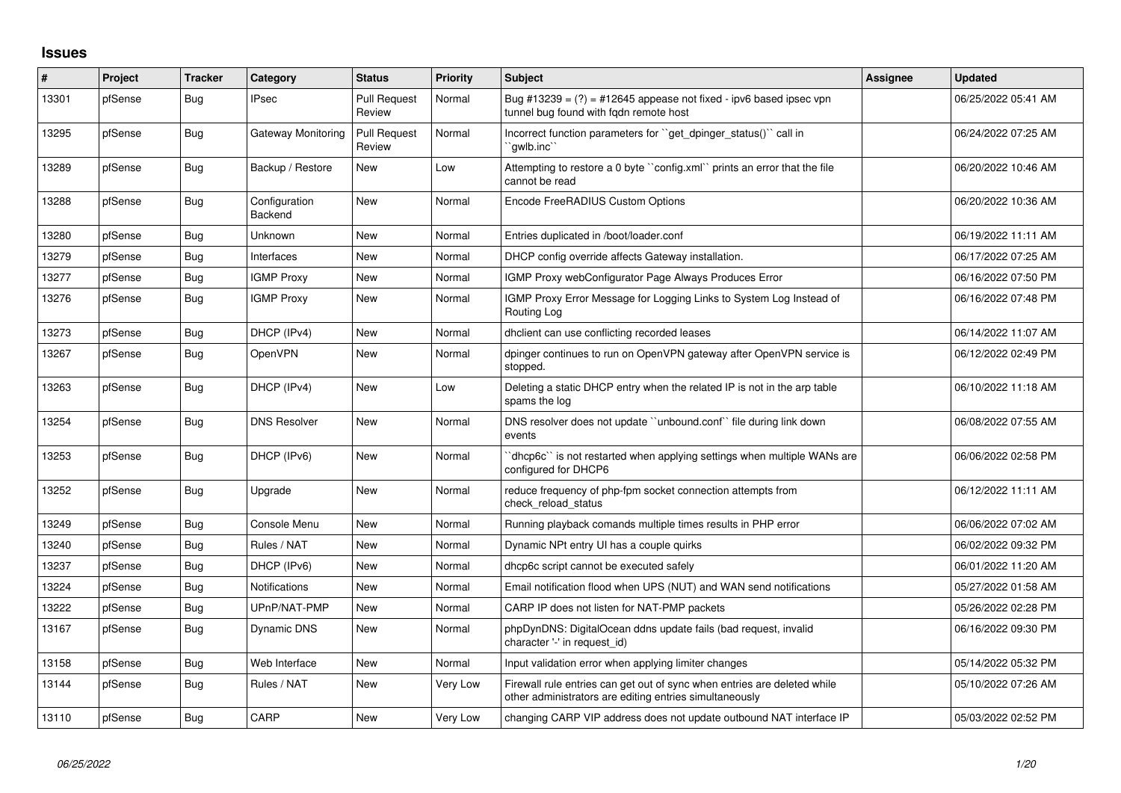## **Issues**

| #     | <b>Project</b> | <b>Tracker</b> | Category                 | <b>Status</b>                 | <b>Priority</b> | <b>Subject</b>                                                                                                                      | Assignee | <b>Updated</b>      |
|-------|----------------|----------------|--------------------------|-------------------------------|-----------------|-------------------------------------------------------------------------------------------------------------------------------------|----------|---------------------|
| 13301 | pfSense        | Bug            | <b>IPsec</b>             | <b>Pull Request</b><br>Review | Normal          | Bug #13239 = $(?)$ = #12645 appease not fixed - ipv6 based ipsec vpn<br>tunnel bug found with fgdn remote host                      |          | 06/25/2022 05:41 AM |
| 13295 | pfSense        | Bug            | Gateway Monitoring       | <b>Pull Request</b><br>Review | Normal          | Incorrect function parameters for "get_dpinger_status()" call in<br>`gwlb.inc`                                                      |          | 06/24/2022 07:25 AM |
| 13289 | pfSense        | Bug            | Backup / Restore         | <b>New</b>                    | Low             | Attempting to restore a 0 byte "config.xml" prints an error that the file<br>cannot be read                                         |          | 06/20/2022 10:46 AM |
| 13288 | pfSense        | <b>Bug</b>     | Configuration<br>Backend | <b>New</b>                    | Normal          | Encode FreeRADIUS Custom Options                                                                                                    |          | 06/20/2022 10:36 AM |
| 13280 | pfSense        | <b>Bug</b>     | Unknown                  | New                           | Normal          | Entries duplicated in /boot/loader.conf                                                                                             |          | 06/19/2022 11:11 AM |
| 13279 | pfSense        | Bug            | Interfaces               | New                           | Normal          | DHCP config override affects Gateway installation.                                                                                  |          | 06/17/2022 07:25 AM |
| 13277 | pfSense        | <b>Bug</b>     | <b>IGMP Proxy</b>        | <b>New</b>                    | Normal          | IGMP Proxy webConfigurator Page Always Produces Error                                                                               |          | 06/16/2022 07:50 PM |
| 13276 | pfSense        | Bug            | <b>IGMP Proxy</b>        | New                           | Normal          | IGMP Proxy Error Message for Logging Links to System Log Instead of<br>Routing Log                                                  |          | 06/16/2022 07:48 PM |
| 13273 | pfSense        | Bug            | DHCP (IPv4)              | <b>New</b>                    | Normal          | dholient can use conflicting recorded leases                                                                                        |          | 06/14/2022 11:07 AM |
| 13267 | pfSense        | Bug            | <b>OpenVPN</b>           | <b>New</b>                    | Normal          | dpinger continues to run on OpenVPN gateway after OpenVPN service is<br>stopped.                                                    |          | 06/12/2022 02:49 PM |
| 13263 | pfSense        | <b>Bug</b>     | DHCP (IPv4)              | <b>New</b>                    | Low             | Deleting a static DHCP entry when the related IP is not in the arp table<br>spams the log                                           |          | 06/10/2022 11:18 AM |
| 13254 | pfSense        | Bug            | <b>DNS Resolver</b>      | <b>New</b>                    | Normal          | DNS resolver does not update "unbound.conf" file during link down<br>events                                                         |          | 06/08/2022 07:55 AM |
| 13253 | pfSense        | Bug            | DHCP (IPv6)              | <b>New</b>                    | Normal          | 'dhcp6c' is not restarted when applying settings when multiple WANs are<br>configured for DHCP6                                     |          | 06/06/2022 02:58 PM |
| 13252 | pfSense        | <b>Bug</b>     | Upgrade                  | New                           | Normal          | reduce frequency of php-fpm socket connection attempts from<br>check reload status                                                  |          | 06/12/2022 11:11 AM |
| 13249 | pfSense        | Bug            | Console Menu             | New                           | Normal          | Running playback comands multiple times results in PHP error                                                                        |          | 06/06/2022 07:02 AM |
| 13240 | pfSense        | <b>Bug</b>     | Rules / NAT              | <b>New</b>                    | Normal          | Dynamic NPt entry UI has a couple quirks                                                                                            |          | 06/02/2022 09:32 PM |
| 13237 | pfSense        | <b>Bug</b>     | DHCP (IPv6)              | <b>New</b>                    | Normal          | dhcp6c script cannot be executed safely                                                                                             |          | 06/01/2022 11:20 AM |
| 13224 | pfSense        | <b>Bug</b>     | Notifications            | <b>New</b>                    | Normal          | Email notification flood when UPS (NUT) and WAN send notifications                                                                  |          | 05/27/2022 01:58 AM |
| 13222 | pfSense        | Bug            | UPnP/NAT-PMP             | New                           | Normal          | CARP IP does not listen for NAT-PMP packets                                                                                         |          | 05/26/2022 02:28 PM |
| 13167 | pfSense        | Bug            | Dynamic DNS              | <b>New</b>                    | Normal          | phpDynDNS: DigitalOcean ddns update fails (bad request, invalid<br>character '-' in request_id)                                     |          | 06/16/2022 09:30 PM |
| 13158 | pfSense        | Bug            | Web Interface            | <b>New</b>                    | Normal          | Input validation error when applying limiter changes                                                                                |          | 05/14/2022 05:32 PM |
| 13144 | pfSense        | Bug            | Rules / NAT              | <b>New</b>                    | Very Low        | Firewall rule entries can get out of sync when entries are deleted while<br>other administrators are editing entries simultaneously |          | 05/10/2022 07:26 AM |
| 13110 | pfSense        | Bug            | CARP                     | <b>New</b>                    | Very Low        | changing CARP VIP address does not update outbound NAT interface IP                                                                 |          | 05/03/2022 02:52 PM |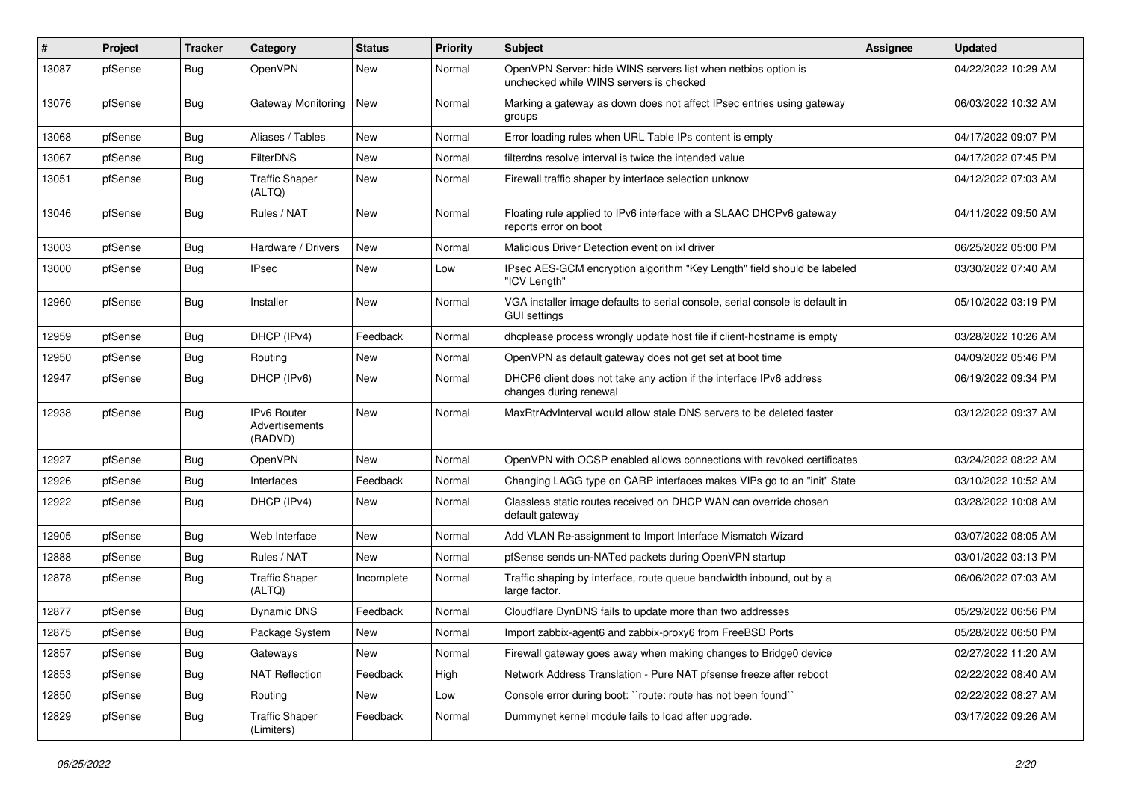| ∦     | Project | <b>Tracker</b> | Category                                 | <b>Status</b> | <b>Priority</b> | <b>Subject</b>                                                                                           | Assignee | <b>Updated</b>      |
|-------|---------|----------------|------------------------------------------|---------------|-----------------|----------------------------------------------------------------------------------------------------------|----------|---------------------|
| 13087 | pfSense | Bug            | OpenVPN                                  | <b>New</b>    | Normal          | OpenVPN Server: hide WINS servers list when netbios option is<br>unchecked while WINS servers is checked |          | 04/22/2022 10:29 AM |
| 13076 | pfSense | Bug            | Gateway Monitoring                       | New           | Normal          | Marking a gateway as down does not affect IPsec entries using gateway<br>groups                          |          | 06/03/2022 10:32 AM |
| 13068 | pfSense | Bug            | Aliases / Tables                         | <b>New</b>    | Normal          | Error loading rules when URL Table IPs content is empty                                                  |          | 04/17/2022 09:07 PM |
| 13067 | pfSense | <b>Bug</b>     | <b>FilterDNS</b>                         | New           | Normal          | filterdns resolve interval is twice the intended value                                                   |          | 04/17/2022 07:45 PM |
| 13051 | pfSense | <b>Bug</b>     | <b>Traffic Shaper</b><br>(ALTQ)          | New           | Normal          | Firewall traffic shaper by interface selection unknow                                                    |          | 04/12/2022 07:03 AM |
| 13046 | pfSense | Bug            | Rules / NAT                              | <b>New</b>    | Normal          | Floating rule applied to IPv6 interface with a SLAAC DHCPv6 gateway<br>reports error on boot             |          | 04/11/2022 09:50 AM |
| 13003 | pfSense | Bug            | Hardware / Drivers                       | New           | Normal          | Malicious Driver Detection event on ixl driver                                                           |          | 06/25/2022 05:00 PM |
| 13000 | pfSense | <b>Bug</b>     | IPsec                                    | New           | Low             | IPsec AES-GCM encryption algorithm "Key Length" field should be labeled<br>"ICV Length"                  |          | 03/30/2022 07:40 AM |
| 12960 | pfSense | Bug            | Installer                                | New           | Normal          | VGA installer image defaults to serial console, serial console is default in<br>GUI settings             |          | 05/10/2022 03:19 PM |
| 12959 | pfSense | Bug            | DHCP (IPv4)                              | Feedback      | Normal          | dhcplease process wrongly update host file if client-hostname is empty                                   |          | 03/28/2022 10:26 AM |
| 12950 | pfSense | <b>Bug</b>     | Routing                                  | New           | Normal          | OpenVPN as default gateway does not get set at boot time                                                 |          | 04/09/2022 05:46 PM |
| 12947 | pfSense | Bug            | DHCP (IPv6)                              | New           | Normal          | DHCP6 client does not take any action if the interface IPv6 address<br>changes during renewal            |          | 06/19/2022 09:34 PM |
| 12938 | pfSense | Bug            | IPv6 Router<br>Advertisements<br>(RADVD) | <b>New</b>    | Normal          | MaxRtrAdvInterval would allow stale DNS servers to be deleted faster                                     |          | 03/12/2022 09:37 AM |
| 12927 | pfSense | Bug            | OpenVPN                                  | <b>New</b>    | Normal          | OpenVPN with OCSP enabled allows connections with revoked certificates                                   |          | 03/24/2022 08:22 AM |
| 12926 | pfSense | Bug            | Interfaces                               | Feedback      | Normal          | Changing LAGG type on CARP interfaces makes VIPs go to an "init" State                                   |          | 03/10/2022 10:52 AM |
| 12922 | pfSense | <b>Bug</b>     | DHCP (IPv4)                              | New           | Normal          | Classless static routes received on DHCP WAN can override chosen<br>default gateway                      |          | 03/28/2022 10:08 AM |
| 12905 | pfSense | Bug            | Web Interface                            | <b>New</b>    | Normal          | Add VLAN Re-assignment to Import Interface Mismatch Wizard                                               |          | 03/07/2022 08:05 AM |
| 12888 | pfSense | Bug            | Rules / NAT                              | New           | Normal          | pfSense sends un-NATed packets during OpenVPN startup                                                    |          | 03/01/2022 03:13 PM |
| 12878 | pfSense | <b>Bug</b>     | <b>Traffic Shaper</b><br>(ALTQ)          | Incomplete    | Normal          | Traffic shaping by interface, route queue bandwidth inbound, out by a<br>large factor.                   |          | 06/06/2022 07:03 AM |
| 12877 | pfSense | Bug            | Dynamic DNS                              | Feedback      | Normal          | Cloudflare DynDNS fails to update more than two addresses                                                |          | 05/29/2022 06:56 PM |
| 12875 | pfSense | <b>Bug</b>     | Package System                           | New           | Normal          | Import zabbix-agent6 and zabbix-proxy6 from FreeBSD Ports                                                |          | 05/28/2022 06:50 PM |
| 12857 | pfSense | <b>Bug</b>     | Gateways                                 | New           | Normal          | Firewall gateway goes away when making changes to Bridge0 device                                         |          | 02/27/2022 11:20 AM |
| 12853 | pfSense | <b>Bug</b>     | <b>NAT Reflection</b>                    | Feedback      | High            | Network Address Translation - Pure NAT pfsense freeze after reboot                                       |          | 02/22/2022 08:40 AM |
| 12850 | pfSense | Bug            | Routing                                  | New           | Low             | Console error during boot: "route: route has not been found"                                             |          | 02/22/2022 08:27 AM |
| 12829 | pfSense | <b>Bug</b>     | <b>Traffic Shaper</b><br>(Limiters)      | Feedback      | Normal          | Dummynet kernel module fails to load after upgrade.                                                      |          | 03/17/2022 09:26 AM |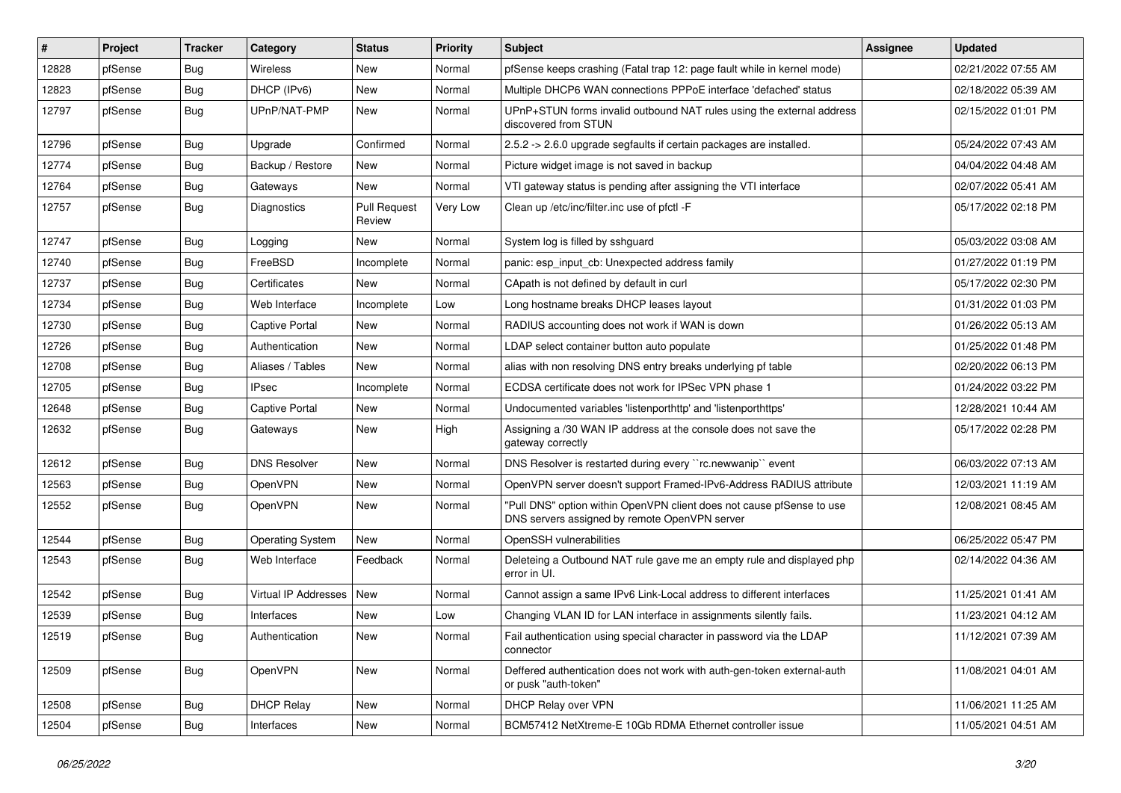| #     | Project | <b>Tracker</b> | Category                | <b>Status</b>                 | <b>Priority</b> | Subject                                                                                                                | Assignee | <b>Updated</b>      |
|-------|---------|----------------|-------------------------|-------------------------------|-----------------|------------------------------------------------------------------------------------------------------------------------|----------|---------------------|
| 12828 | pfSense | Bug            | Wireless                | New                           | Normal          | pfSense keeps crashing (Fatal trap 12: page fault while in kernel mode)                                                |          | 02/21/2022 07:55 AM |
| 12823 | pfSense | Bug            | DHCP (IPv6)             | <b>New</b>                    | Normal          | Multiple DHCP6 WAN connections PPPoE interface 'defached' status                                                       |          | 02/18/2022 05:39 AM |
| 12797 | pfSense | Bug            | UPnP/NAT-PMP            | New                           | Normal          | UPnP+STUN forms invalid outbound NAT rules using the external address<br>discovered from STUN                          |          | 02/15/2022 01:01 PM |
| 12796 | pfSense | Bug            | Upgrade                 | Confirmed                     | Normal          | 2.5.2 -> 2.6.0 upgrade segfaults if certain packages are installed.                                                    |          | 05/24/2022 07:43 AM |
| 12774 | pfSense | <b>Bug</b>     | Backup / Restore        | New                           | Normal          | Picture widget image is not saved in backup                                                                            |          | 04/04/2022 04:48 AM |
| 12764 | pfSense | Bug            | Gateways                | <b>New</b>                    | Normal          | VTI gateway status is pending after assigning the VTI interface                                                        |          | 02/07/2022 05:41 AM |
| 12757 | pfSense | Bug            | <b>Diagnostics</b>      | <b>Pull Request</b><br>Review | Very Low        | Clean up /etc/inc/filter.inc use of pfctl -F                                                                           |          | 05/17/2022 02:18 PM |
| 12747 | pfSense | Bug            | Logging                 | New                           | Normal          | System log is filled by sshguard                                                                                       |          | 05/03/2022 03:08 AM |
| 12740 | pfSense | Bug            | FreeBSD                 | Incomplete                    | Normal          | panic: esp input cb: Unexpected address family                                                                         |          | 01/27/2022 01:19 PM |
| 12737 | pfSense | <b>Bug</b>     | Certificates            | <b>New</b>                    | Normal          | CApath is not defined by default in curl                                                                               |          | 05/17/2022 02:30 PM |
| 12734 | pfSense | Bug            | Web Interface           | Incomplete                    | Low             | Long hostname breaks DHCP leases layout                                                                                |          | 01/31/2022 01:03 PM |
| 12730 | pfSense | <b>Bug</b>     | <b>Captive Portal</b>   | New                           | Normal          | RADIUS accounting does not work if WAN is down                                                                         |          | 01/26/2022 05:13 AM |
| 12726 | pfSense | Bug            | Authentication          | <b>New</b>                    | Normal          | LDAP select container button auto populate                                                                             |          | 01/25/2022 01:48 PM |
| 12708 | pfSense | Bug            | Aliases / Tables        | <b>New</b>                    | Normal          | alias with non resolving DNS entry breaks underlying pf table                                                          |          | 02/20/2022 06:13 PM |
| 12705 | pfSense | <b>Bug</b>     | <b>IPsec</b>            | Incomplete                    | Normal          | ECDSA certificate does not work for IPSec VPN phase 1                                                                  |          | 01/24/2022 03:22 PM |
| 12648 | pfSense | <b>Bug</b>     | Captive Portal          | <b>New</b>                    | Normal          | Undocumented variables 'listenporthttp' and 'listenporthttps'                                                          |          | 12/28/2021 10:44 AM |
| 12632 | pfSense | Bug            | Gateways                | New                           | High            | Assigning a /30 WAN IP address at the console does not save the<br>gateway correctly                                   |          | 05/17/2022 02:28 PM |
| 12612 | pfSense | Bug            | <b>DNS Resolver</b>     | <b>New</b>                    | Normal          | DNS Resolver is restarted during every "rc.newwanip" event                                                             |          | 06/03/2022 07:13 AM |
| 12563 | pfSense | <b>Bug</b>     | OpenVPN                 | New                           | Normal          | OpenVPN server doesn't support Framed-IPv6-Address RADIUS attribute                                                    |          | 12/03/2021 11:19 AM |
| 12552 | pfSense | Bug            | OpenVPN                 | New                           | Normal          | "Pull DNS" option within OpenVPN client does not cause pfSense to use<br>DNS servers assigned by remote OpenVPN server |          | 12/08/2021 08:45 AM |
| 12544 | pfSense | <b>Bug</b>     | <b>Operating System</b> | <b>New</b>                    | Normal          | OpenSSH vulnerabilities                                                                                                |          | 06/25/2022 05:47 PM |
| 12543 | pfSense | Bug            | Web Interface           | Feedback                      | Normal          | Deleteing a Outbound NAT rule gave me an empty rule and displayed php<br>error in UI.                                  |          | 02/14/2022 04:36 AM |
| 12542 | pfSense | <b>Bug</b>     | Virtual IP Addresses    | <b>New</b>                    | Normal          | Cannot assign a same IPv6 Link-Local address to different interfaces                                                   |          | 11/25/2021 01:41 AM |
| 12539 | pfSense | <b>Bug</b>     | Interfaces              | <b>New</b>                    | Low             | Changing VLAN ID for LAN interface in assignments silently fails.                                                      |          | 11/23/2021 04:12 AM |
| 12519 | pfSense | Bug            | Authentication          | New                           | Normal          | Fail authentication using special character in password via the LDAP<br>connector                                      |          | 11/12/2021 07:39 AM |
| 12509 | pfSense | <b>Bug</b>     | OpenVPN                 | New                           | Normal          | Deffered authentication does not work with auth-gen-token external-auth<br>or pusk "auth-token"                        |          | 11/08/2021 04:01 AM |
| 12508 | pfSense | Bug            | <b>DHCP Relay</b>       | New                           | Normal          | DHCP Relay over VPN                                                                                                    |          | 11/06/2021 11:25 AM |
| 12504 | pfSense | Bug            | Interfaces              | New                           | Normal          | BCM57412 NetXtreme-E 10Gb RDMA Ethernet controller issue                                                               |          | 11/05/2021 04:51 AM |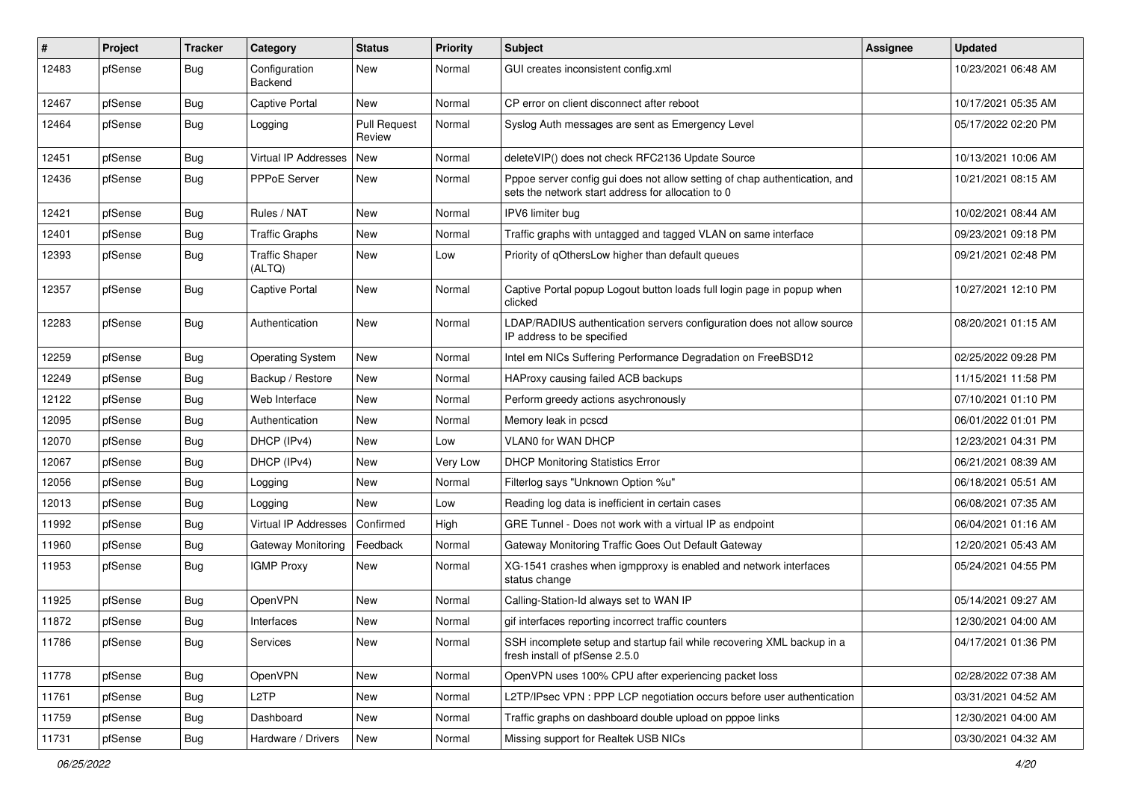| #     | Project | <b>Tracker</b> | Category                        | <b>Status</b>                 | <b>Priority</b> | <b>Subject</b>                                                                                                                   | Assignee | <b>Updated</b>      |
|-------|---------|----------------|---------------------------------|-------------------------------|-----------------|----------------------------------------------------------------------------------------------------------------------------------|----------|---------------------|
| 12483 | pfSense | Bug            | Configuration<br>Backend        | New                           | Normal          | GUI creates inconsistent config.xml                                                                                              |          | 10/23/2021 06:48 AM |
| 12467 | pfSense | Bug            | Captive Portal                  | New                           | Normal          | CP error on client disconnect after reboot                                                                                       |          | 10/17/2021 05:35 AM |
| 12464 | pfSense | Bug            | Logging                         | <b>Pull Request</b><br>Review | Normal          | Syslog Auth messages are sent as Emergency Level                                                                                 |          | 05/17/2022 02:20 PM |
| 12451 | pfSense | Bug            | Virtual IP Addresses            | New                           | Normal          | deleteVIP() does not check RFC2136 Update Source                                                                                 |          | 10/13/2021 10:06 AM |
| 12436 | pfSense | Bug            | PPPoE Server                    | New                           | Normal          | Pppoe server config gui does not allow setting of chap authentication, and<br>sets the network start address for allocation to 0 |          | 10/21/2021 08:15 AM |
| 12421 | pfSense | Bug            | Rules / NAT                     | <b>New</b>                    | Normal          | IPV6 limiter bug                                                                                                                 |          | 10/02/2021 08:44 AM |
| 12401 | pfSense | Bug            | <b>Traffic Graphs</b>           | New                           | Normal          | Traffic graphs with untagged and tagged VLAN on same interface                                                                   |          | 09/23/2021 09:18 PM |
| 12393 | pfSense | Bug            | <b>Traffic Shaper</b><br>(ALTQ) | <b>New</b>                    | Low             | Priority of qOthersLow higher than default queues                                                                                |          | 09/21/2021 02:48 PM |
| 12357 | pfSense | Bug            | Captive Portal                  | <b>New</b>                    | Normal          | Captive Portal popup Logout button loads full login page in popup when<br>clicked                                                |          | 10/27/2021 12:10 PM |
| 12283 | pfSense | <b>Bug</b>     | Authentication                  | <b>New</b>                    | Normal          | LDAP/RADIUS authentication servers configuration does not allow source<br>IP address to be specified                             |          | 08/20/2021 01:15 AM |
| 12259 | pfSense | Bug            | <b>Operating System</b>         | <b>New</b>                    | Normal          | Intel em NICs Suffering Performance Degradation on FreeBSD12                                                                     |          | 02/25/2022 09:28 PM |
| 12249 | pfSense | Bug            | Backup / Restore                | New                           | Normal          | HAProxy causing failed ACB backups                                                                                               |          | 11/15/2021 11:58 PM |
| 12122 | pfSense | Bug            | Web Interface                   | New                           | Normal          | Perform greedy actions asychronously                                                                                             |          | 07/10/2021 01:10 PM |
| 12095 | pfSense | <b>Bug</b>     | Authentication                  | New                           | Normal          | Memory leak in pcscd                                                                                                             |          | 06/01/2022 01:01 PM |
| 12070 | pfSense | <b>Bug</b>     | DHCP (IPv4)                     | New                           | Low             | VLAN0 for WAN DHCP                                                                                                               |          | 12/23/2021 04:31 PM |
| 12067 | pfSense | Bug            | DHCP (IPv4)                     | New                           | Very Low        | <b>DHCP Monitoring Statistics Error</b>                                                                                          |          | 06/21/2021 08:39 AM |
| 12056 | pfSense | Bug            | Logging                         | New                           | Normal          | Filterlog says "Unknown Option %u"                                                                                               |          | 06/18/2021 05:51 AM |
| 12013 | pfSense | <b>Bug</b>     | Logging                         | New                           | Low             | Reading log data is inefficient in certain cases                                                                                 |          | 06/08/2021 07:35 AM |
| 11992 | pfSense | Bug            | Virtual IP Addresses            | Confirmed                     | High            | GRE Tunnel - Does not work with a virtual IP as endpoint                                                                         |          | 06/04/2021 01:16 AM |
| 11960 | pfSense | Bug            | Gateway Monitoring              | Feedback                      | Normal          | Gateway Monitoring Traffic Goes Out Default Gateway                                                                              |          | 12/20/2021 05:43 AM |
| 11953 | pfSense | <b>Bug</b>     | <b>IGMP Proxy</b>               | New                           | Normal          | XG-1541 crashes when igmpproxy is enabled and network interfaces<br>status change                                                |          | 05/24/2021 04:55 PM |
| 11925 | pfSense | <b>Bug</b>     | <b>OpenVPN</b>                  | <b>New</b>                    | Normal          | Calling-Station-Id always set to WAN IP                                                                                          |          | 05/14/2021 09:27 AM |
| 11872 | pfSense | <b>Bug</b>     | Interfaces                      | New                           | Normal          | gif interfaces reporting incorrect traffic counters                                                                              |          | 12/30/2021 04:00 AM |
| 11786 | pfSense | <b>Bug</b>     | Services                        | New                           | Normal          | SSH incomplete setup and startup fail while recovering XML backup in a<br>fresh install of pfSense 2.5.0                         |          | 04/17/2021 01:36 PM |
| 11778 | pfSense | Bug            | OpenVPN                         | New                           | Normal          | OpenVPN uses 100% CPU after experiencing packet loss                                                                             |          | 02/28/2022 07:38 AM |
| 11761 | pfSense | Bug            | L <sub>2</sub> TP               | New                           | Normal          | L2TP/IPsec VPN : PPP LCP negotiation occurs before user authentication                                                           |          | 03/31/2021 04:52 AM |
| 11759 | pfSense | Bug            | Dashboard                       | New                           | Normal          | Traffic graphs on dashboard double upload on pppoe links                                                                         |          | 12/30/2021 04:00 AM |
| 11731 | pfSense | <b>Bug</b>     | Hardware / Drivers              | New                           | Normal          | Missing support for Realtek USB NICs                                                                                             |          | 03/30/2021 04:32 AM |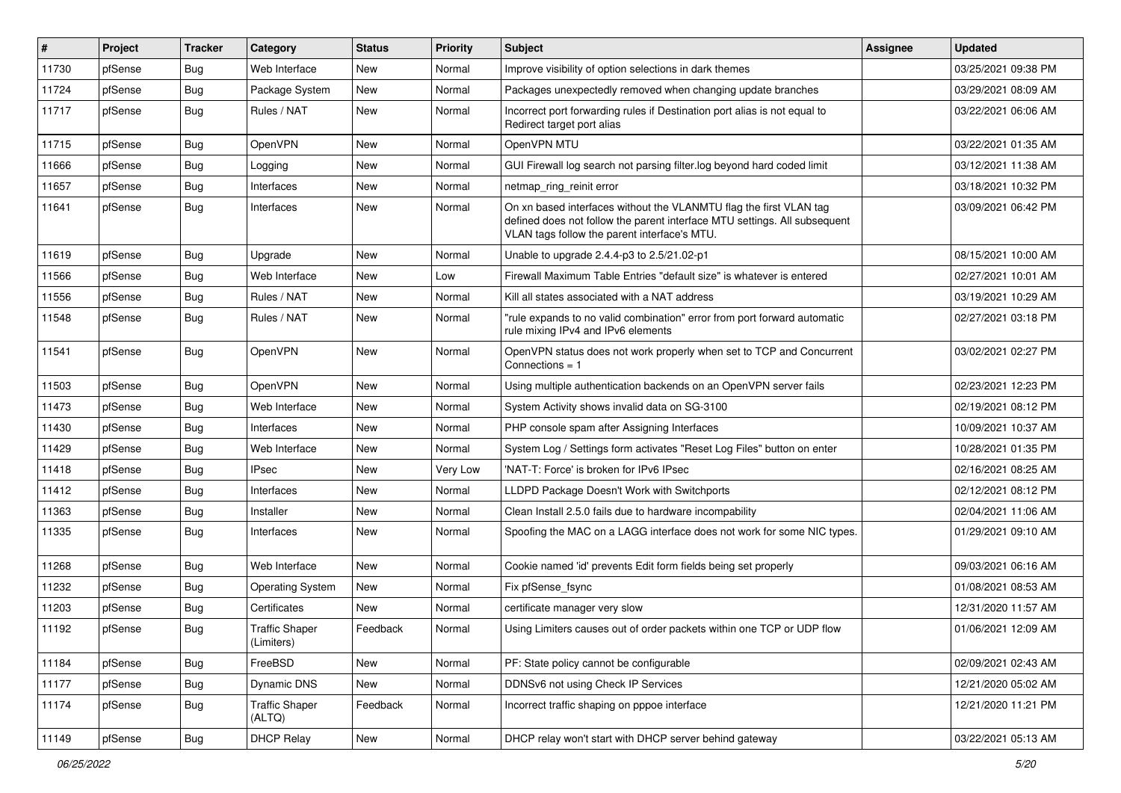| #     | Project | <b>Tracker</b> | Category                            | <b>Status</b> | <b>Priority</b> | Subject                                                                                                                                                                                         | <b>Assignee</b> | <b>Updated</b>      |
|-------|---------|----------------|-------------------------------------|---------------|-----------------|-------------------------------------------------------------------------------------------------------------------------------------------------------------------------------------------------|-----------------|---------------------|
| 11730 | pfSense | Bug            | Web Interface                       | New           | Normal          | Improve visibility of option selections in dark themes                                                                                                                                          |                 | 03/25/2021 09:38 PM |
| 11724 | pfSense | <b>Bug</b>     | Package System                      | New           | Normal          | Packages unexpectedly removed when changing update branches                                                                                                                                     |                 | 03/29/2021 08:09 AM |
| 11717 | pfSense | Bug            | Rules / NAT                         | <b>New</b>    | Normal          | Incorrect port forwarding rules if Destination port alias is not equal to<br>Redirect target port alias                                                                                         |                 | 03/22/2021 06:06 AM |
| 11715 | pfSense | Bug            | <b>OpenVPN</b>                      | New           | Normal          | OpenVPN MTU                                                                                                                                                                                     |                 | 03/22/2021 01:35 AM |
| 11666 | pfSense | <b>Bug</b>     | Logging                             | <b>New</b>    | Normal          | GUI Firewall log search not parsing filter.log beyond hard coded limit                                                                                                                          |                 | 03/12/2021 11:38 AM |
| 11657 | pfSense | Bug            | Interfaces                          | New           | Normal          | netmap_ring_reinit error                                                                                                                                                                        |                 | 03/18/2021 10:32 PM |
| 11641 | pfSense | Bug            | Interfaces                          | <b>New</b>    | Normal          | On xn based interfaces without the VLANMTU flag the first VLAN tag<br>defined does not follow the parent interface MTU settings. All subsequent<br>VLAN tags follow the parent interface's MTU. |                 | 03/09/2021 06:42 PM |
| 11619 | pfSense | Bug            | Upgrade                             | New           | Normal          | Unable to upgrade 2.4.4-p3 to 2.5/21.02-p1                                                                                                                                                      |                 | 08/15/2021 10:00 AM |
| 11566 | pfSense | Bug            | Web Interface                       | <b>New</b>    | Low             | Firewall Maximum Table Entries "default size" is whatever is entered                                                                                                                            |                 | 02/27/2021 10:01 AM |
| 11556 | pfSense | <b>Bug</b>     | Rules / NAT                         | <b>New</b>    | Normal          | Kill all states associated with a NAT address                                                                                                                                                   |                 | 03/19/2021 10:29 AM |
| 11548 | pfSense | Bug            | Rules / NAT                         | New           | Normal          | "rule expands to no valid combination" error from port forward automatic<br>rule mixing IPv4 and IPv6 elements                                                                                  |                 | 02/27/2021 03:18 PM |
| 11541 | pfSense | Bug            | <b>OpenVPN</b>                      | <b>New</b>    | Normal          | OpenVPN status does not work properly when set to TCP and Concurrent<br>Connections $= 1$                                                                                                       |                 | 03/02/2021 02:27 PM |
| 11503 | pfSense | Bug            | <b>OpenVPN</b>                      | <b>New</b>    | Normal          | Using multiple authentication backends on an OpenVPN server fails                                                                                                                               |                 | 02/23/2021 12:23 PM |
| 11473 | pfSense | Bug            | Web Interface                       | <b>New</b>    | Normal          | System Activity shows invalid data on SG-3100                                                                                                                                                   |                 | 02/19/2021 08:12 PM |
| 11430 | pfSense | Bug            | Interfaces                          | <b>New</b>    | Normal          | PHP console spam after Assigning Interfaces                                                                                                                                                     |                 | 10/09/2021 10:37 AM |
| 11429 | pfSense | Bug            | Web Interface                       | <b>New</b>    | Normal          | System Log / Settings form activates "Reset Log Files" button on enter                                                                                                                          |                 | 10/28/2021 01:35 PM |
| 11418 | pfSense | <b>Bug</b>     | <b>IPsec</b>                        | New           | Very Low        | 'NAT-T: Force' is broken for IPv6 IPsec                                                                                                                                                         |                 | 02/16/2021 08:25 AM |
| 11412 | pfSense | Bug            | Interfaces                          | New           | Normal          | LLDPD Package Doesn't Work with Switchports                                                                                                                                                     |                 | 02/12/2021 08:12 PM |
| 11363 | pfSense | Bug            | Installer                           | <b>New</b>    | Normal          | Clean Install 2.5.0 fails due to hardware incompability                                                                                                                                         |                 | 02/04/2021 11:06 AM |
| 11335 | pfSense | Bug            | Interfaces                          | New           | Normal          | Spoofing the MAC on a LAGG interface does not work for some NIC types.                                                                                                                          |                 | 01/29/2021 09:10 AM |
| 11268 | pfSense | Bug            | Web Interface                       | New           | Normal          | Cookie named 'id' prevents Edit form fields being set properly                                                                                                                                  |                 | 09/03/2021 06:16 AM |
| 11232 | pfSense | <b>Bug</b>     | <b>Operating System</b>             | <b>New</b>    | Normal          | Fix pfSense_fsync                                                                                                                                                                               |                 | 01/08/2021 08:53 AM |
| 11203 | pfSense | <b>Bug</b>     | Certificates                        | <b>New</b>    | Normal          | certificate manager very slow                                                                                                                                                                   |                 | 12/31/2020 11:57 AM |
| 11192 | pfSense | Bug            | <b>Traffic Shaper</b><br>(Limiters) | Feedback      | Normal          | Using Limiters causes out of order packets within one TCP or UDP flow                                                                                                                           |                 | 01/06/2021 12:09 AM |
| 11184 | pfSense | Bug            | FreeBSD                             | New           | Normal          | PF: State policy cannot be configurable                                                                                                                                                         |                 | 02/09/2021 02:43 AM |
| 11177 | pfSense | Bug            | Dynamic DNS                         | New           | Normal          | DDNSv6 not using Check IP Services                                                                                                                                                              |                 | 12/21/2020 05:02 AM |
| 11174 | pfSense | Bug            | <b>Traffic Shaper</b><br>(ALTQ)     | Feedback      | Normal          | Incorrect traffic shaping on pppoe interface                                                                                                                                                    |                 | 12/21/2020 11:21 PM |
| 11149 | pfSense | <b>Bug</b>     | <b>DHCP Relay</b>                   | New           | Normal          | DHCP relay won't start with DHCP server behind gateway                                                                                                                                          |                 | 03/22/2021 05:13 AM |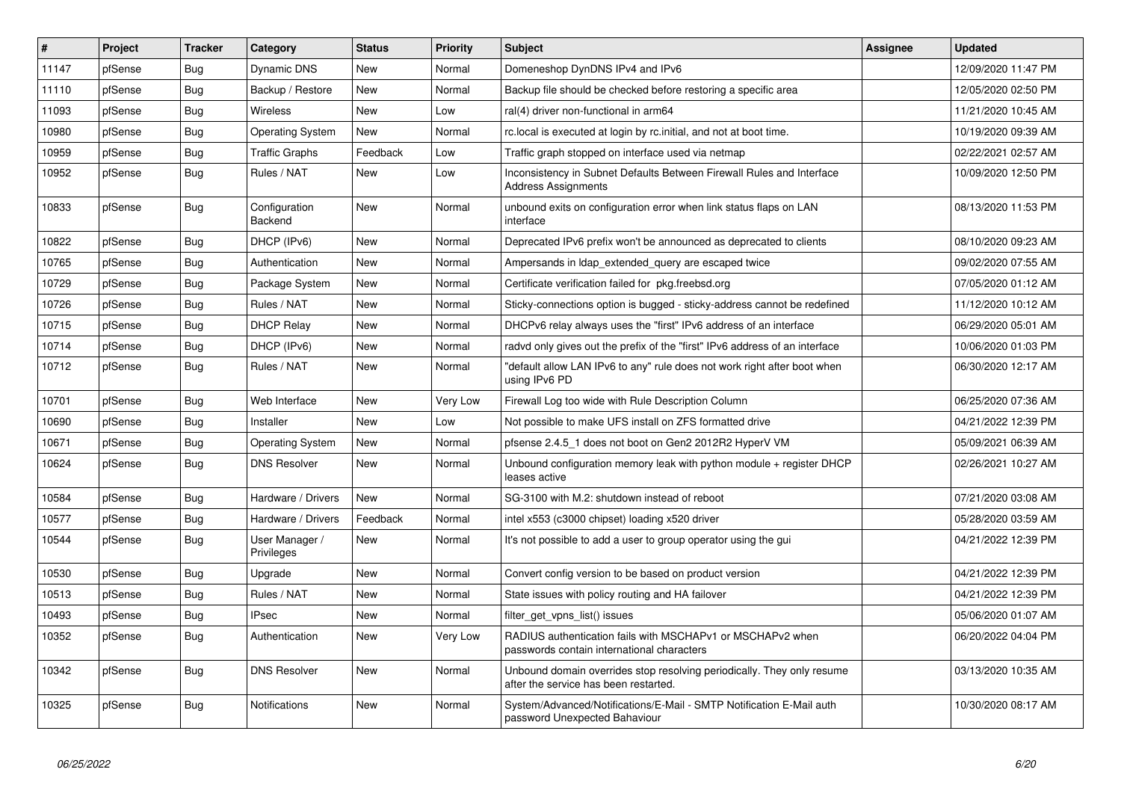| $\vert$ # | Project | <b>Tracker</b> | Category                     | <b>Status</b> | <b>Priority</b> | <b>Subject</b>                                                                                                  | Assignee | <b>Updated</b>      |
|-----------|---------|----------------|------------------------------|---------------|-----------------|-----------------------------------------------------------------------------------------------------------------|----------|---------------------|
| 11147     | pfSense | Bug            | <b>Dynamic DNS</b>           | New           | Normal          | Domeneshop DynDNS IPv4 and IPv6                                                                                 |          | 12/09/2020 11:47 PM |
| 11110     | pfSense | Bug            | Backup / Restore             | <b>New</b>    | Normal          | Backup file should be checked before restoring a specific area                                                  |          | 12/05/2020 02:50 PM |
| 11093     | pfSense | Bug            | <b>Wireless</b>              | <b>New</b>    | Low             | ral(4) driver non-functional in arm64                                                                           |          | 11/21/2020 10:45 AM |
| 10980     | pfSense | Bug            | <b>Operating System</b>      | <b>New</b>    | Normal          | rc.local is executed at login by rc.initial, and not at boot time.                                              |          | 10/19/2020 09:39 AM |
| 10959     | pfSense | Bug            | <b>Traffic Graphs</b>        | Feedback      | Low             | Traffic graph stopped on interface used via netmap                                                              |          | 02/22/2021 02:57 AM |
| 10952     | pfSense | Bug            | Rules / NAT                  | New           | Low             | Inconsistency in Subnet Defaults Between Firewall Rules and Interface<br><b>Address Assignments</b>             |          | 10/09/2020 12:50 PM |
| 10833     | pfSense | Bug            | Configuration<br>Backend     | New           | Normal          | unbound exits on configuration error when link status flaps on LAN<br>interface                                 |          | 08/13/2020 11:53 PM |
| 10822     | pfSense | <b>Bug</b>     | DHCP (IPv6)                  | <b>New</b>    | Normal          | Deprecated IPv6 prefix won't be announced as deprecated to clients                                              |          | 08/10/2020 09:23 AM |
| 10765     | pfSense | Bug            | Authentication               | <b>New</b>    | Normal          | Ampersands in Idap extended query are escaped twice                                                             |          | 09/02/2020 07:55 AM |
| 10729     | pfSense | Bug            | Package System               | <b>New</b>    | Normal          | Certificate verification failed for pkg.freebsd.org                                                             |          | 07/05/2020 01:12 AM |
| 10726     | pfSense | Bug            | Rules / NAT                  | <b>New</b>    | Normal          | Sticky-connections option is bugged - sticky-address cannot be redefined                                        |          | 11/12/2020 10:12 AM |
| 10715     | pfSense | Bug            | <b>DHCP Relay</b>            | <b>New</b>    | Normal          | DHCPv6 relay always uses the "first" IPv6 address of an interface                                               |          | 06/29/2020 05:01 AM |
| 10714     | pfSense | Bug            | DHCP (IPv6)                  | <b>New</b>    | Normal          | radyd only gives out the prefix of the "first" IPv6 address of an interface                                     |          | 10/06/2020 01:03 PM |
| 10712     | pfSense | Bug            | Rules / NAT                  | <b>New</b>    | Normal          | 'default allow LAN IPv6 to any" rule does not work right after boot when<br>using IPv6 PD                       |          | 06/30/2020 12:17 AM |
| 10701     | pfSense | Bug            | Web Interface                | New           | Very Low        | Firewall Log too wide with Rule Description Column                                                              |          | 06/25/2020 07:36 AM |
| 10690     | pfSense | <b>Bug</b>     | Installer                    | <b>New</b>    | Low             | Not possible to make UFS install on ZFS formatted drive                                                         |          | 04/21/2022 12:39 PM |
| 10671     | pfSense | Bug            | <b>Operating System</b>      | New           | Normal          | pfsense 2.4.5 1 does not boot on Gen2 2012R2 HyperV VM                                                          |          | 05/09/2021 06:39 AM |
| 10624     | pfSense | Bug            | <b>DNS Resolver</b>          | New           | Normal          | Unbound configuration memory leak with python module $+$ register DHCP<br>leases active                         |          | 02/26/2021 10:27 AM |
| 10584     | pfSense | <b>Bug</b>     | Hardware / Drivers           | <b>New</b>    | Normal          | SG-3100 with M.2: shutdown instead of reboot                                                                    |          | 07/21/2020 03:08 AM |
| 10577     | pfSense | Bug            | Hardware / Drivers           | Feedback      | Normal          | intel x553 (c3000 chipset) loading x520 driver                                                                  |          | 05/28/2020 03:59 AM |
| 10544     | pfSense | <b>Bug</b>     | User Manager /<br>Privileges | <b>New</b>    | Normal          | It's not possible to add a user to group operator using the gui                                                 |          | 04/21/2022 12:39 PM |
| 10530     | pfSense | Bug            | Upgrade                      | New           | Normal          | Convert config version to be based on product version                                                           |          | 04/21/2022 12:39 PM |
| 10513     | pfSense | <b>Bug</b>     | Rules / NAT                  | <b>New</b>    | Normal          | State issues with policy routing and HA failover                                                                |          | 04/21/2022 12:39 PM |
| 10493     | pfSense | <b>Bug</b>     | <b>IPsec</b>                 | <b>New</b>    | Normal          | filter get vpns list() issues                                                                                   |          | 05/06/2020 01:07 AM |
| 10352     | pfSense | Bug            | Authentication               | New           | Very Low        | RADIUS authentication fails with MSCHAPv1 or MSCHAPv2 when<br>passwords contain international characters        |          | 06/20/2022 04:04 PM |
| 10342     | pfSense | Bug            | <b>DNS Resolver</b>          | New           | Normal          | Unbound domain overrides stop resolving periodically. They only resume<br>after the service has been restarted. |          | 03/13/2020 10:35 AM |
| 10325     | pfSense | <b>Bug</b>     | Notifications                | <b>New</b>    | Normal          | System/Advanced/Notifications/E-Mail - SMTP Notification E-Mail auth<br>password Unexpected Bahaviour           |          | 10/30/2020 08:17 AM |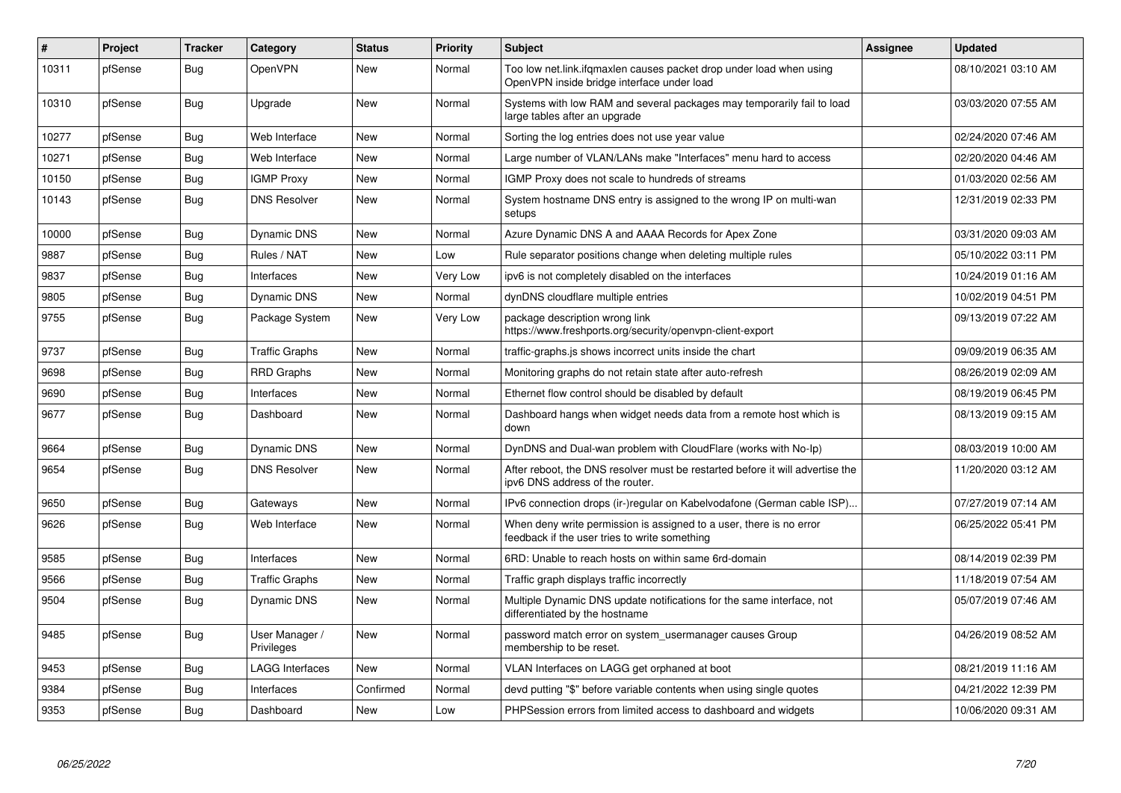| #     | Project | <b>Tracker</b> | Category                     | <b>Status</b> | Priority | <b>Subject</b>                                                                                                       | Assignee | <b>Updated</b>      |
|-------|---------|----------------|------------------------------|---------------|----------|----------------------------------------------------------------------------------------------------------------------|----------|---------------------|
| 10311 | pfSense | Bug            | <b>OpenVPN</b>               | <b>New</b>    | Normal   | Too low net.link.ifqmaxlen causes packet drop under load when using<br>OpenVPN inside bridge interface under load    |          | 08/10/2021 03:10 AM |
| 10310 | pfSense | Bug            | Upgrade                      | <b>New</b>    | Normal   | Systems with low RAM and several packages may temporarily fail to load<br>large tables after an upgrade              |          | 03/03/2020 07:55 AM |
| 10277 | pfSense | Bug            | Web Interface                | <b>New</b>    | Normal   | Sorting the log entries does not use year value                                                                      |          | 02/24/2020 07:46 AM |
| 10271 | pfSense | <b>Bug</b>     | Web Interface                | <b>New</b>    | Normal   | Large number of VLAN/LANs make "Interfaces" menu hard to access                                                      |          | 02/20/2020 04:46 AM |
| 10150 | pfSense | <b>Bug</b>     | <b>IGMP Proxy</b>            | <b>New</b>    | Normal   | IGMP Proxy does not scale to hundreds of streams                                                                     |          | 01/03/2020 02:56 AM |
| 10143 | pfSense | Bug            | <b>DNS Resolver</b>          | <b>New</b>    | Normal   | System hostname DNS entry is assigned to the wrong IP on multi-wan<br>setups                                         |          | 12/31/2019 02:33 PM |
| 10000 | pfSense | Bug            | <b>Dynamic DNS</b>           | New           | Normal   | Azure Dynamic DNS A and AAAA Records for Apex Zone                                                                   |          | 03/31/2020 09:03 AM |
| 9887  | pfSense | Bug            | Rules / NAT                  | <b>New</b>    | Low      | Rule separator positions change when deleting multiple rules                                                         |          | 05/10/2022 03:11 PM |
| 9837  | pfSense | Bug            | Interfaces                   | <b>New</b>    | Very Low | ipv6 is not completely disabled on the interfaces                                                                    |          | 10/24/2019 01:16 AM |
| 9805  | pfSense | Bug            | <b>Dynamic DNS</b>           | <b>New</b>    | Normal   | dynDNS cloudflare multiple entries                                                                                   |          | 10/02/2019 04:51 PM |
| 9755  | pfSense | <b>Bug</b>     | Package System               | New           | Very Low | package description wrong link<br>https://www.freshports.org/security/openvpn-client-export                          |          | 09/13/2019 07:22 AM |
| 9737  | pfSense | Bug            | <b>Traffic Graphs</b>        | <b>New</b>    | Normal   | traffic-graphs is shows incorrect units inside the chart                                                             |          | 09/09/2019 06:35 AM |
| 9698  | pfSense | <b>Bug</b>     | <b>RRD Graphs</b>            | New           | Normal   | Monitoring graphs do not retain state after auto-refresh                                                             |          | 08/26/2019 02:09 AM |
| 9690  | pfSense | Bug            | Interfaces                   | <b>New</b>    | Normal   | Ethernet flow control should be disabled by default                                                                  |          | 08/19/2019 06:45 PM |
| 9677  | pfSense | <b>Bug</b>     | Dashboard                    | <b>New</b>    | Normal   | Dashboard hangs when widget needs data from a remote host which is<br>down                                           |          | 08/13/2019 09:15 AM |
| 9664  | pfSense | Bug            | Dynamic DNS                  | <b>New</b>    | Normal   | DynDNS and Dual-wan problem with CloudFlare (works with No-Ip)                                                       |          | 08/03/2019 10:00 AM |
| 9654  | pfSense | <b>Bug</b>     | <b>DNS Resolver</b>          | <b>New</b>    | Normal   | After reboot, the DNS resolver must be restarted before it will advertise the<br>ipv6 DNS address of the router.     |          | 11/20/2020 03:12 AM |
| 9650  | pfSense | Bug            | Gateways                     | <b>New</b>    | Normal   | IPv6 connection drops (ir-)regular on Kabelvodafone (German cable ISP)                                               |          | 07/27/2019 07:14 AM |
| 9626  | pfSense | <b>Bug</b>     | Web Interface                | <b>New</b>    | Normal   | When deny write permission is assigned to a user, there is no error<br>feedback if the user tries to write something |          | 06/25/2022 05:41 PM |
| 9585  | pfSense | Bug            | Interfaces                   | <b>New</b>    | Normal   | 6RD: Unable to reach hosts on within same 6rd-domain                                                                 |          | 08/14/2019 02:39 PM |
| 9566  | pfSense | Bug            | Traffic Graphs               | New           | Normal   | Traffic graph displays traffic incorrectly                                                                           |          | 11/18/2019 07:54 AM |
| 9504  | pfSense | <b>Bug</b>     | <b>Dynamic DNS</b>           | <b>New</b>    | Normal   | Multiple Dynamic DNS update notifications for the same interface, not<br>differentiated by the hostname              |          | 05/07/2019 07:46 AM |
| 9485  | pfSense | Bug            | User Manager /<br>Privileges | <b>New</b>    | Normal   | password match error on system usermanager causes Group<br>membership to be reset.                                   |          | 04/26/2019 08:52 AM |
| 9453  | pfSense | Bug            | <b>LAGG Interfaces</b>       | New           | Normal   | VLAN Interfaces on LAGG get orphaned at boot                                                                         |          | 08/21/2019 11:16 AM |
| 9384  | pfSense | Bug            | Interfaces                   | Confirmed     | Normal   | devd putting "\$" before variable contents when using single quotes                                                  |          | 04/21/2022 12:39 PM |
| 9353  | pfSense | <b>Bug</b>     | Dashboard                    | <b>New</b>    | Low      | PHPSession errors from limited access to dashboard and widgets                                                       |          | 10/06/2020 09:31 AM |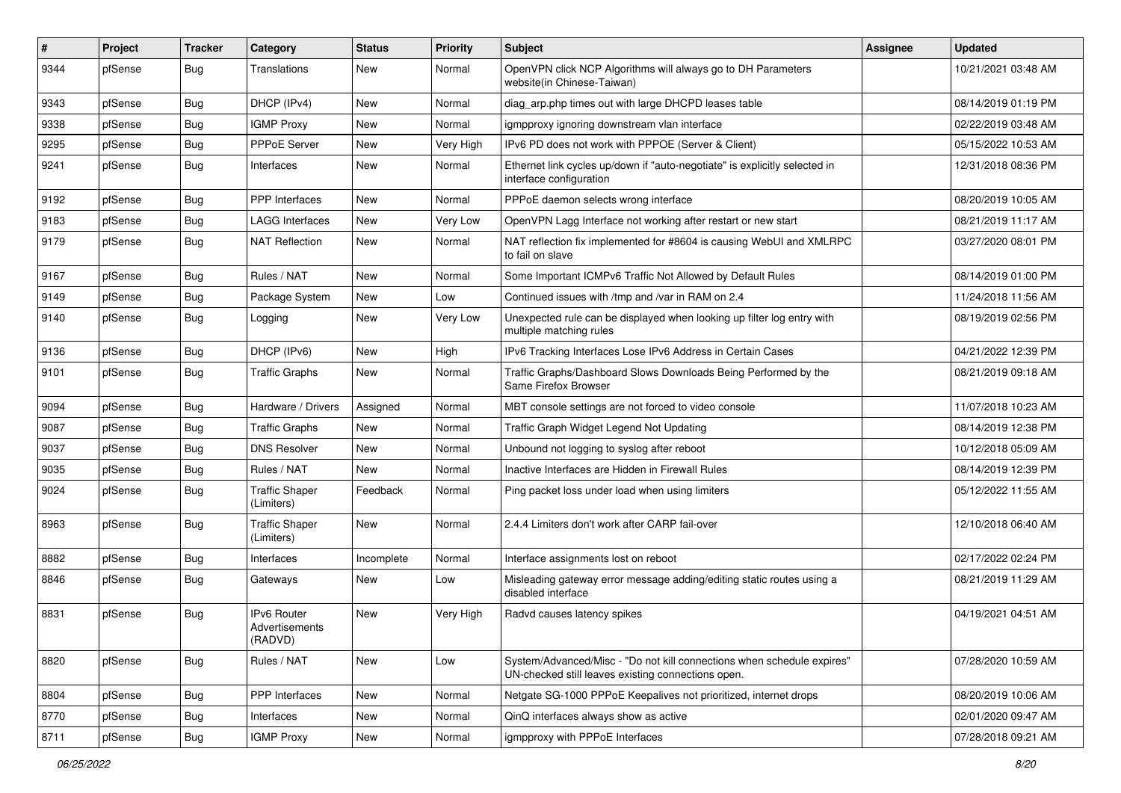| #    | Project | <b>Tracker</b> | Category                                 | <b>Status</b> | <b>Priority</b> | <b>Subject</b>                                                                                                               | Assignee | <b>Updated</b>      |
|------|---------|----------------|------------------------------------------|---------------|-----------------|------------------------------------------------------------------------------------------------------------------------------|----------|---------------------|
| 9344 | pfSense | <b>Bug</b>     | Translations                             | New           | Normal          | OpenVPN click NCP Algorithms will always go to DH Parameters<br>website(in Chinese-Taiwan)                                   |          | 10/21/2021 03:48 AM |
| 9343 | pfSense | Bug            | DHCP (IPv4)                              | New           | Normal          | diag_arp.php times out with large DHCPD leases table                                                                         |          | 08/14/2019 01:19 PM |
| 9338 | pfSense | Bug            | <b>IGMP Proxy</b>                        | New           | Normal          | igmpproxy ignoring downstream vlan interface                                                                                 |          | 02/22/2019 03:48 AM |
| 9295 | pfSense | Bug            | PPPoE Server                             | <b>New</b>    | Very High       | IPv6 PD does not work with PPPOE (Server & Client)                                                                           |          | 05/15/2022 10:53 AM |
| 9241 | pfSense | Bug            | Interfaces                               | New           | Normal          | Ethernet link cycles up/down if "auto-negotiate" is explicitly selected in<br>interface configuration                        |          | 12/31/2018 08:36 PM |
| 9192 | pfSense | Bug            | <b>PPP</b> Interfaces                    | <b>New</b>    | Normal          | PPPoE daemon selects wrong interface                                                                                         |          | 08/20/2019 10:05 AM |
| 9183 | pfSense | Bug            | <b>LAGG Interfaces</b>                   | New           | Very Low        | OpenVPN Lagg Interface not working after restart or new start                                                                |          | 08/21/2019 11:17 AM |
| 9179 | pfSense | Bug            | <b>NAT Reflection</b>                    | <b>New</b>    | Normal          | NAT reflection fix implemented for #8604 is causing WebUI and XMLRPC<br>to fail on slave                                     |          | 03/27/2020 08:01 PM |
| 9167 | pfSense | Bug            | Rules / NAT                              | <b>New</b>    | Normal          | Some Important ICMPv6 Traffic Not Allowed by Default Rules                                                                   |          | 08/14/2019 01:00 PM |
| 9149 | pfSense | Bug            | Package System                           | <b>New</b>    | Low             | Continued issues with /tmp and /var in RAM on 2.4                                                                            |          | 11/24/2018 11:56 AM |
| 9140 | pfSense | Bug            | Logging                                  | New           | Very Low        | Unexpected rule can be displayed when looking up filter log entry with<br>multiple matching rules                            |          | 08/19/2019 02:56 PM |
| 9136 | pfSense | Bug            | DHCP (IPv6)                              | <b>New</b>    | High            | IPv6 Tracking Interfaces Lose IPv6 Address in Certain Cases                                                                  |          | 04/21/2022 12:39 PM |
| 9101 | pfSense | Bug            | <b>Traffic Graphs</b>                    | New           | Normal          | Traffic Graphs/Dashboard Slows Downloads Being Performed by the<br>Same Firefox Browser                                      |          | 08/21/2019 09:18 AM |
| 9094 | pfSense | <b>Bug</b>     | Hardware / Drivers                       | Assigned      | Normal          | MBT console settings are not forced to video console                                                                         |          | 11/07/2018 10:23 AM |
| 9087 | pfSense | Bug            | <b>Traffic Graphs</b>                    | New           | Normal          | Traffic Graph Widget Legend Not Updating                                                                                     |          | 08/14/2019 12:38 PM |
| 9037 | pfSense | Bug            | <b>DNS Resolver</b>                      | <b>New</b>    | Normal          | Unbound not logging to syslog after reboot                                                                                   |          | 10/12/2018 05:09 AM |
| 9035 | pfSense | Bug            | Rules / NAT                              | New           | Normal          | Inactive Interfaces are Hidden in Firewall Rules                                                                             |          | 08/14/2019 12:39 PM |
| 9024 | pfSense | <b>Bug</b>     | <b>Traffic Shaper</b><br>(Limiters)      | Feedback      | Normal          | Ping packet loss under load when using limiters                                                                              |          | 05/12/2022 11:55 AM |
| 8963 | pfSense | <b>Bug</b>     | <b>Traffic Shaper</b><br>(Limiters)      | <b>New</b>    | Normal          | 2.4.4 Limiters don't work after CARP fail-over                                                                               |          | 12/10/2018 06:40 AM |
| 8882 | pfSense | Bug            | Interfaces                               | Incomplete    | Normal          | Interface assignments lost on reboot                                                                                         |          | 02/17/2022 02:24 PM |
| 8846 | pfSense | Bug            | Gateways                                 | New           | Low             | Misleading gateway error message adding/editing static routes using a<br>disabled interface                                  |          | 08/21/2019 11:29 AM |
| 8831 | pfSense | Bug            | IPv6 Router<br>Advertisements<br>(RADVD) | New           | Very High       | Radvd causes latency spikes                                                                                                  |          | 04/19/2021 04:51 AM |
| 8820 | pfSense | <b>Bug</b>     | Rules / NAT                              | New           | Low             | System/Advanced/Misc - "Do not kill connections when schedule expires"<br>UN-checked still leaves existing connections open. |          | 07/28/2020 10:59 AM |
| 8804 | pfSense | <b>Bug</b>     | PPP Interfaces                           | New           | Normal          | Netgate SG-1000 PPPoE Keepalives not prioritized, internet drops                                                             |          | 08/20/2019 10:06 AM |
| 8770 | pfSense | Bug            | Interfaces                               | New           | Normal          | QinQ interfaces always show as active                                                                                        |          | 02/01/2020 09:47 AM |
| 8711 | pfSense | Bug            | <b>IGMP Proxy</b>                        | New           | Normal          | igmpproxy with PPPoE Interfaces                                                                                              |          | 07/28/2018 09:21 AM |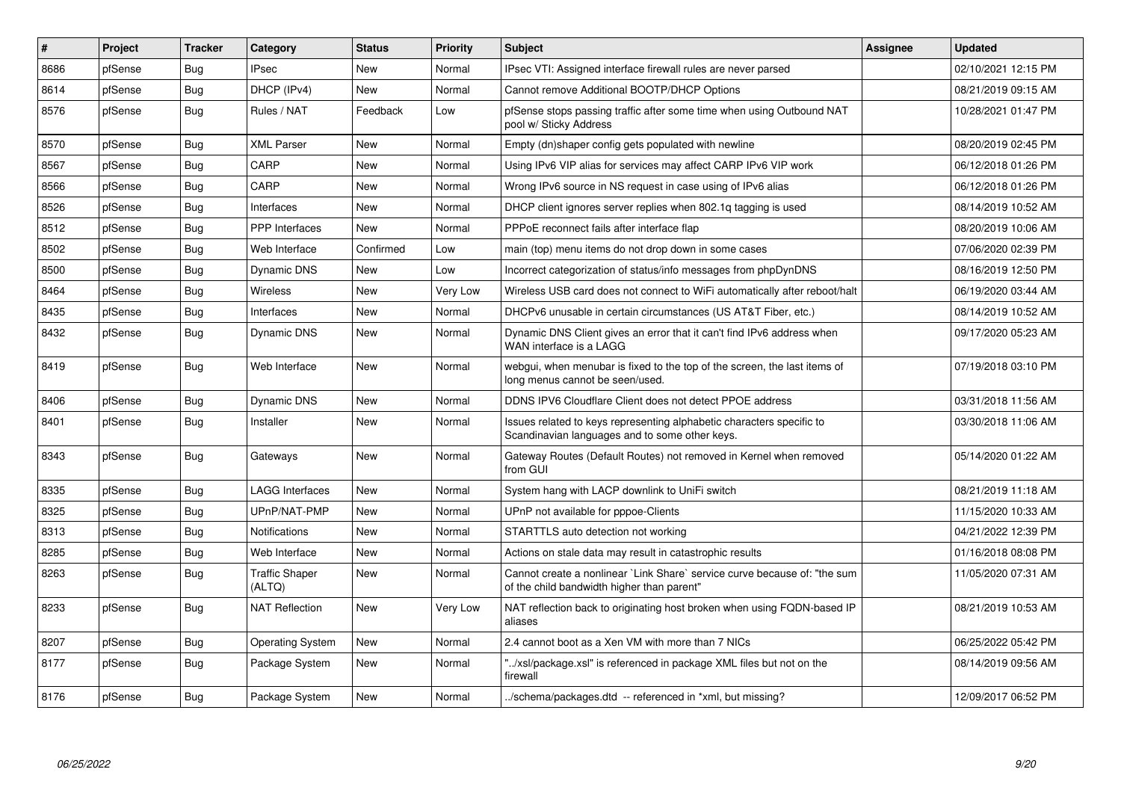| $\pmb{\#}$ | Project | Tracker    | Category                        | <b>Status</b> | <b>Priority</b> | <b>Subject</b>                                                                                                          | <b>Assignee</b> | <b>Updated</b>      |
|------------|---------|------------|---------------------------------|---------------|-----------------|-------------------------------------------------------------------------------------------------------------------------|-----------------|---------------------|
| 8686       | pfSense | <b>Bug</b> | <b>IPsec</b>                    | New           | Normal          | IPsec VTI: Assigned interface firewall rules are never parsed                                                           |                 | 02/10/2021 12:15 PM |
| 8614       | pfSense | <b>Bug</b> | DHCP (IPv4)                     | <b>New</b>    | Normal          | Cannot remove Additional BOOTP/DHCP Options                                                                             |                 | 08/21/2019 09:15 AM |
| 8576       | pfSense | Bug        | Rules / NAT                     | Feedback      | Low             | pfSense stops passing traffic after some time when using Outbound NAT<br>pool w/ Sticky Address                         |                 | 10/28/2021 01:47 PM |
| 8570       | pfSense | Bug        | <b>XML Parser</b>               | New           | Normal          | Empty (dn)shaper config gets populated with newline                                                                     |                 | 08/20/2019 02:45 PM |
| 8567       | pfSense | Bug        | CARP                            | <b>New</b>    | Normal          | Using IPv6 VIP alias for services may affect CARP IPv6 VIP work                                                         |                 | 06/12/2018 01:26 PM |
| 8566       | pfSense | Bug        | CARP                            | <b>New</b>    | Normal          | Wrong IPv6 source in NS request in case using of IPv6 alias                                                             |                 | 06/12/2018 01:26 PM |
| 8526       | pfSense | Bug        | Interfaces                      | New           | Normal          | DHCP client ignores server replies when 802.1q tagging is used                                                          |                 | 08/14/2019 10:52 AM |
| 8512       | pfSense | Bug        | <b>PPP</b> Interfaces           | New           | Normal          | PPPoE reconnect fails after interface flap                                                                              |                 | 08/20/2019 10:06 AM |
| 8502       | pfSense | Bug        | Web Interface                   | Confirmed     | Low             | main (top) menu items do not drop down in some cases                                                                    |                 | 07/06/2020 02:39 PM |
| 8500       | pfSense | Bug        | Dynamic DNS                     | <b>New</b>    | Low             | Incorrect categorization of status/info messages from phpDynDNS                                                         |                 | 08/16/2019 12:50 PM |
| 8464       | pfSense | Bug        | <b>Wireless</b>                 | New           | Very Low        | Wireless USB card does not connect to WiFi automatically after reboot/halt                                              |                 | 06/19/2020 03:44 AM |
| 8435       | pfSense | <b>Bug</b> | Interfaces                      | <b>New</b>    | Normal          | DHCPv6 unusable in certain circumstances (US AT&T Fiber, etc.)                                                          |                 | 08/14/2019 10:52 AM |
| 8432       | pfSense | <b>Bug</b> | Dynamic DNS                     | <b>New</b>    | Normal          | Dynamic DNS Client gives an error that it can't find IPv6 address when<br>WAN interface is a LAGG                       |                 | 09/17/2020 05:23 AM |
| 8419       | pfSense | <b>Bug</b> | Web Interface                   | <b>New</b>    | Normal          | webgui, when menubar is fixed to the top of the screen, the last items of<br>long menus cannot be seen/used.            |                 | 07/19/2018 03:10 PM |
| 8406       | pfSense | <b>Bug</b> | Dynamic DNS                     | New           | Normal          | DDNS IPV6 Cloudflare Client does not detect PPOE address                                                                |                 | 03/31/2018 11:56 AM |
| 8401       | pfSense | <b>Bug</b> | Installer                       | New           | Normal          | Issues related to keys representing alphabetic characters specific to<br>Scandinavian languages and to some other keys. |                 | 03/30/2018 11:06 AM |
| 8343       | pfSense | Bug        | Gateways                        | New           | Normal          | Gateway Routes (Default Routes) not removed in Kernel when removed<br>from GUI                                          |                 | 05/14/2020 01:22 AM |
| 8335       | pfSense | Bug        | <b>LAGG Interfaces</b>          | <b>New</b>    | Normal          | System hang with LACP downlink to UniFi switch                                                                          |                 | 08/21/2019 11:18 AM |
| 8325       | pfSense | Bug        | UPnP/NAT-PMP                    | New           | Normal          | UPnP not available for pppoe-Clients                                                                                    |                 | 11/15/2020 10:33 AM |
| 8313       | pfSense | Bug        | <b>Notifications</b>            | <b>New</b>    | Normal          | STARTTLS auto detection not working                                                                                     |                 | 04/21/2022 12:39 PM |
| 8285       | pfSense | Bug        | Web Interface                   | New           | Normal          | Actions on stale data may result in catastrophic results                                                                |                 | 01/16/2018 08:08 PM |
| 8263       | pfSense | <b>Bug</b> | <b>Traffic Shaper</b><br>(ALTQ) | <b>New</b>    | Normal          | Cannot create a nonlinear `Link Share` service curve because of: "the sum<br>of the child bandwidth higher than parent" |                 | 11/05/2020 07:31 AM |
| 8233       | pfSense | Bug        | <b>NAT Reflection</b>           | <b>New</b>    | Very Low        | NAT reflection back to originating host broken when using FQDN-based IP<br>aliases                                      |                 | 08/21/2019 10:53 AM |
| 8207       | pfSense | <b>Bug</b> | <b>Operating System</b>         | New           | Normal          | 2.4 cannot boot as a Xen VM with more than 7 NICs                                                                       |                 | 06/25/2022 05:42 PM |
| 8177       | pfSense | Bug        | Package System                  | New           | Normal          | "/xsl/package.xsl" is referenced in package XML files but not on the<br>firewall                                        |                 | 08/14/2019 09:56 AM |
| 8176       | pfSense | Bug        | Package System                  | New           | Normal          | ./schema/packages.dtd -- referenced in *xml, but missing?                                                               |                 | 12/09/2017 06:52 PM |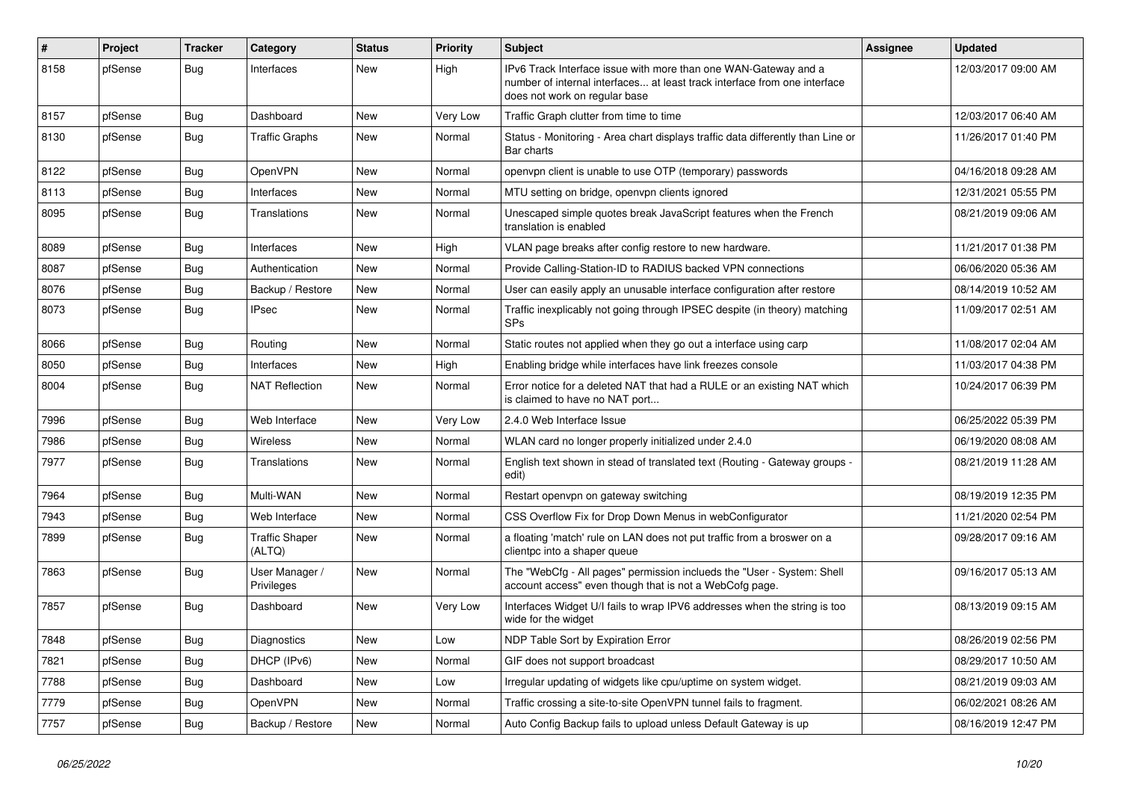| $\vert$ # | Project | <b>Tracker</b> | Category                        | <b>Status</b> | <b>Priority</b> | Subject                                                                                                                                                                       | Assignee | <b>Updated</b>      |
|-----------|---------|----------------|---------------------------------|---------------|-----------------|-------------------------------------------------------------------------------------------------------------------------------------------------------------------------------|----------|---------------------|
| 8158      | pfSense | Bug            | Interfaces                      | <b>New</b>    | High            | IPv6 Track Interface issue with more than one WAN-Gateway and a<br>number of internal interfaces at least track interface from one interface<br>does not work on regular base |          | 12/03/2017 09:00 AM |
| 8157      | pfSense | <b>Bug</b>     | Dashboard                       | <b>New</b>    | Very Low        | Traffic Graph clutter from time to time                                                                                                                                       |          | 12/03/2017 06:40 AM |
| 8130      | pfSense | <b>Bug</b>     | <b>Traffic Graphs</b>           | New           | Normal          | Status - Monitoring - Area chart displays traffic data differently than Line or<br>Bar charts                                                                                 |          | 11/26/2017 01:40 PM |
| 8122      | pfSense | <b>Bug</b>     | <b>OpenVPN</b>                  | New           | Normal          | openvpn client is unable to use OTP (temporary) passwords                                                                                                                     |          | 04/16/2018 09:28 AM |
| 8113      | pfSense | <b>Bug</b>     | Interfaces                      | <b>New</b>    | Normal          | MTU setting on bridge, openvpn clients ignored                                                                                                                                |          | 12/31/2021 05:55 PM |
| 8095      | pfSense | Bug            | Translations                    | New           | Normal          | Unescaped simple quotes break JavaScript features when the French<br>translation is enabled                                                                                   |          | 08/21/2019 09:06 AM |
| 8089      | pfSense | Bug            | Interfaces                      | New           | High            | VLAN page breaks after config restore to new hardware.                                                                                                                        |          | 11/21/2017 01:38 PM |
| 8087      | pfSense | Bug            | Authentication                  | New           | Normal          | Provide Calling-Station-ID to RADIUS backed VPN connections                                                                                                                   |          | 06/06/2020 05:36 AM |
| 8076      | pfSense | Bug            | Backup / Restore                | New           | Normal          | User can easily apply an unusable interface configuration after restore                                                                                                       |          | 08/14/2019 10:52 AM |
| 8073      | pfSense | Bug            | IPsec                           | <b>New</b>    | Normal          | Traffic inexplicably not going through IPSEC despite (in theory) matching<br>SPs                                                                                              |          | 11/09/2017 02:51 AM |
| 8066      | pfSense | <b>Bug</b>     | Routing                         | <b>New</b>    | Normal          | Static routes not applied when they go out a interface using carp                                                                                                             |          | 11/08/2017 02:04 AM |
| 8050      | pfSense | <b>Bug</b>     | Interfaces                      | New           | High            | Enabling bridge while interfaces have link freezes console                                                                                                                    |          | 11/03/2017 04:38 PM |
| 8004      | pfSense | Bug            | <b>NAT Reflection</b>           | <b>New</b>    | Normal          | Error notice for a deleted NAT that had a RULE or an existing NAT which<br>is claimed to have no NAT port                                                                     |          | 10/24/2017 06:39 PM |
| 7996      | pfSense | <b>Bug</b>     | Web Interface                   | New           | Very Low        | 2.4.0 Web Interface Issue                                                                                                                                                     |          | 06/25/2022 05:39 PM |
| 7986      | pfSense | Bug            | Wireless                        | <b>New</b>    | Normal          | WLAN card no longer properly initialized under 2.4.0                                                                                                                          |          | 06/19/2020 08:08 AM |
| 7977      | pfSense | Bug            | Translations                    | New           | Normal          | English text shown in stead of translated text (Routing - Gateway groups -<br>edit)                                                                                           |          | 08/21/2019 11:28 AM |
| 7964      | pfSense | Bug            | Multi-WAN                       | <b>New</b>    | Normal          | Restart openvpn on gateway switching                                                                                                                                          |          | 08/19/2019 12:35 PM |
| 7943      | pfSense | <b>Bug</b>     | Web Interface                   | New           | Normal          | CSS Overflow Fix for Drop Down Menus in webConfigurator                                                                                                                       |          | 11/21/2020 02:54 PM |
| 7899      | pfSense | <b>Bug</b>     | <b>Traffic Shaper</b><br>(ALTQ) | New           | Normal          | a floating 'match' rule on LAN does not put traffic from a broswer on a<br>clientpc into a shaper queue                                                                       |          | 09/28/2017 09:16 AM |
| 7863      | pfSense | <b>Bug</b>     | User Manager /<br>Privileges    | New           | Normal          | The "WebCfg - All pages" permission inclueds the "User - System: Shell<br>account access" even though that is not a WebCofg page.                                             |          | 09/16/2017 05:13 AM |
| 7857      | pfSense | Bug            | Dashboard                       | New           | Very Low        | Interfaces Widget U/I fails to wrap IPV6 addresses when the string is too<br>wide for the widget                                                                              |          | 08/13/2019 09:15 AM |
| 7848      | pfSense | Bug            | Diagnostics                     | New           | Low             | NDP Table Sort by Expiration Error                                                                                                                                            |          | 08/26/2019 02:56 PM |
| 7821      | pfSense | <b>Bug</b>     | DHCP (IPv6)                     | New           | Normal          | GIF does not support broadcast                                                                                                                                                |          | 08/29/2017 10:50 AM |
| 7788      | pfSense | Bug            | Dashboard                       | New           | Low             | Irregular updating of widgets like cpu/uptime on system widget.                                                                                                               |          | 08/21/2019 09:03 AM |
| 7779      | pfSense | <b>Bug</b>     | OpenVPN                         | New           | Normal          | Traffic crossing a site-to-site OpenVPN tunnel fails to fragment.                                                                                                             |          | 06/02/2021 08:26 AM |
| 7757      | pfSense | <b>Bug</b>     | Backup / Restore                | New           | Normal          | Auto Config Backup fails to upload unless Default Gateway is up                                                                                                               |          | 08/16/2019 12:47 PM |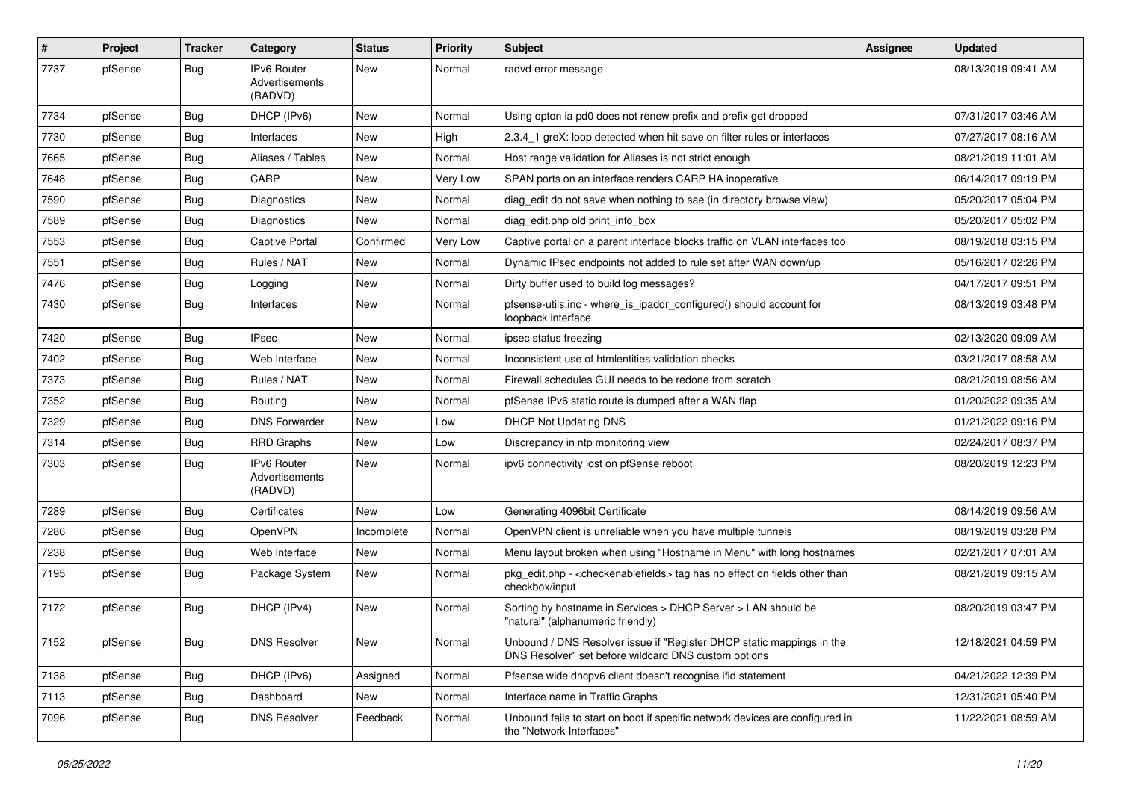| $\vert$ # | Project | <b>Tracker</b> | Category                                        | <b>Status</b> | <b>Priority</b> | <b>Subject</b>                                                                                                                | <b>Assignee</b> | <b>Updated</b>      |
|-----------|---------|----------------|-------------------------------------------------|---------------|-----------------|-------------------------------------------------------------------------------------------------------------------------------|-----------------|---------------------|
| 7737      | pfSense | Bug            | IPv6 Router<br>Advertisements<br>(RADVD)        | <b>New</b>    | Normal          | radvd error message                                                                                                           |                 | 08/13/2019 09:41 AM |
| 7734      | pfSense | Bug            | DHCP (IPv6)                                     | <b>New</b>    | Normal          | Using opton ia pd0 does not renew prefix and prefix get dropped                                                               |                 | 07/31/2017 03:46 AM |
| 7730      | pfSense | <b>Bug</b>     | Interfaces                                      | <b>New</b>    | High            | 2.3.4 1 greX: loop detected when hit save on filter rules or interfaces                                                       |                 | 07/27/2017 08:16 AM |
| 7665      | pfSense | Bug            | Aliases / Tables                                | New           | Normal          | Host range validation for Aliases is not strict enough                                                                        |                 | 08/21/2019 11:01 AM |
| 7648      | pfSense | Bug            | CARP                                            | <b>New</b>    | Very Low        | SPAN ports on an interface renders CARP HA inoperative                                                                        |                 | 06/14/2017 09:19 PM |
| 7590      | pfSense | <b>Bug</b>     | Diagnostics                                     | <b>New</b>    | Normal          | diag_edit do not save when nothing to sae (in directory browse view)                                                          |                 | 05/20/2017 05:04 PM |
| 7589      | pfSense | <b>Bug</b>     | Diagnostics                                     | New           | Normal          | diag edit.php old print info box                                                                                              |                 | 05/20/2017 05:02 PM |
| 7553      | pfSense | <b>Bug</b>     | Captive Portal                                  | Confirmed     | Very Low        | Captive portal on a parent interface blocks traffic on VLAN interfaces too                                                    |                 | 08/19/2018 03:15 PM |
| 7551      | pfSense | Bug            | Rules / NAT                                     | New           | Normal          | Dynamic IPsec endpoints not added to rule set after WAN down/up                                                               |                 | 05/16/2017 02:26 PM |
| 7476      | pfSense | <b>Bug</b>     | Logging                                         | <b>New</b>    | Normal          | Dirty buffer used to build log messages?                                                                                      |                 | 04/17/2017 09:51 PM |
| 7430      | pfSense | Bug            | Interfaces                                      | <b>New</b>    | Normal          | pfsense-utils.inc - where_is_ipaddr_configured() should account for<br>loopback interface                                     |                 | 08/13/2019 03:48 PM |
| 7420      | pfSense | Bug            | <b>IPsec</b>                                    | <b>New</b>    | Normal          | ipsec status freezing                                                                                                         |                 | 02/13/2020 09:09 AM |
| 7402      | pfSense | <b>Bug</b>     | Web Interface                                   | <b>New</b>    | Normal          | Inconsistent use of htmlentities validation checks                                                                            |                 | 03/21/2017 08:58 AM |
| 7373      | pfSense | Bug            | Rules / NAT                                     | New           | Normal          | Firewall schedules GUI needs to be redone from scratch                                                                        |                 | 08/21/2019 08:56 AM |
| 7352      | pfSense | <b>Bug</b>     | Routing                                         | <b>New</b>    | Normal          | pfSense IPv6 static route is dumped after a WAN flap                                                                          |                 | 01/20/2022 09:35 AM |
| 7329      | pfSense | <b>Bug</b>     | <b>DNS Forwarder</b>                            | New           | Low             | <b>DHCP Not Updating DNS</b>                                                                                                  |                 | 01/21/2022 09:16 PM |
| 7314      | pfSense | <b>Bug</b>     | <b>RRD Graphs</b>                               | New           | Low             | Discrepancy in ntp monitoring view                                                                                            |                 | 02/24/2017 08:37 PM |
| 7303      | pfSense | Bug            | <b>IPv6 Router</b><br>Advertisements<br>(RADVD) | New           | Normal          | ipv6 connectivity lost on pfSense reboot                                                                                      |                 | 08/20/2019 12:23 PM |
| 7289      | pfSense | <b>Bug</b>     | Certificates                                    | <b>New</b>    | Low             | Generating 4096bit Certificate                                                                                                |                 | 08/14/2019 09:56 AM |
| 7286      | pfSense | <b>Bug</b>     | <b>OpenVPN</b>                                  | Incomplete    | Normal          | OpenVPN client is unreliable when you have multiple tunnels                                                                   |                 | 08/19/2019 03:28 PM |
| 7238      | pfSense | <b>Bug</b>     | Web Interface                                   | <b>New</b>    | Normal          | Menu layout broken when using "Hostname in Menu" with long hostnames                                                          |                 | 02/21/2017 07:01 AM |
| 7195      | pfSense | Bug            | Package System                                  | New           | Normal          | pkg_edit.php - <checkenablefields> tag has no effect on fields other than<br/>checkbox/input</checkenablefields>              |                 | 08/21/2019 09:15 AM |
| 7172      | pfSense | Bug            | DHCP (IPv4)                                     | <b>New</b>    | Normal          | Sorting by hostname in Services > DHCP Server > LAN should be<br>"natural" (alphanumeric friendly)                            |                 | 08/20/2019 03:47 PM |
| 7152      | pfSense | <b>Bug</b>     | <b>DNS Resolver</b>                             | New           | Normal          | Unbound / DNS Resolver issue if "Register DHCP static mappings in the<br>DNS Resolver" set before wildcard DNS custom options |                 | 12/18/2021 04:59 PM |
| 7138      | pfSense | <b>Bug</b>     | DHCP (IPv6)                                     | Assigned      | Normal          | Pfsense wide dhcpv6 client doesn't recognise ifid statement                                                                   |                 | 04/21/2022 12:39 PM |
| 7113      | pfSense | Bug            | Dashboard                                       | New           | Normal          | Interface name in Traffic Graphs                                                                                              |                 | 12/31/2021 05:40 PM |
| 7096      | pfSense | Bug            | <b>DNS Resolver</b>                             | Feedback      | Normal          | Unbound fails to start on boot if specific network devices are configured in<br>the "Network Interfaces"                      |                 | 11/22/2021 08:59 AM |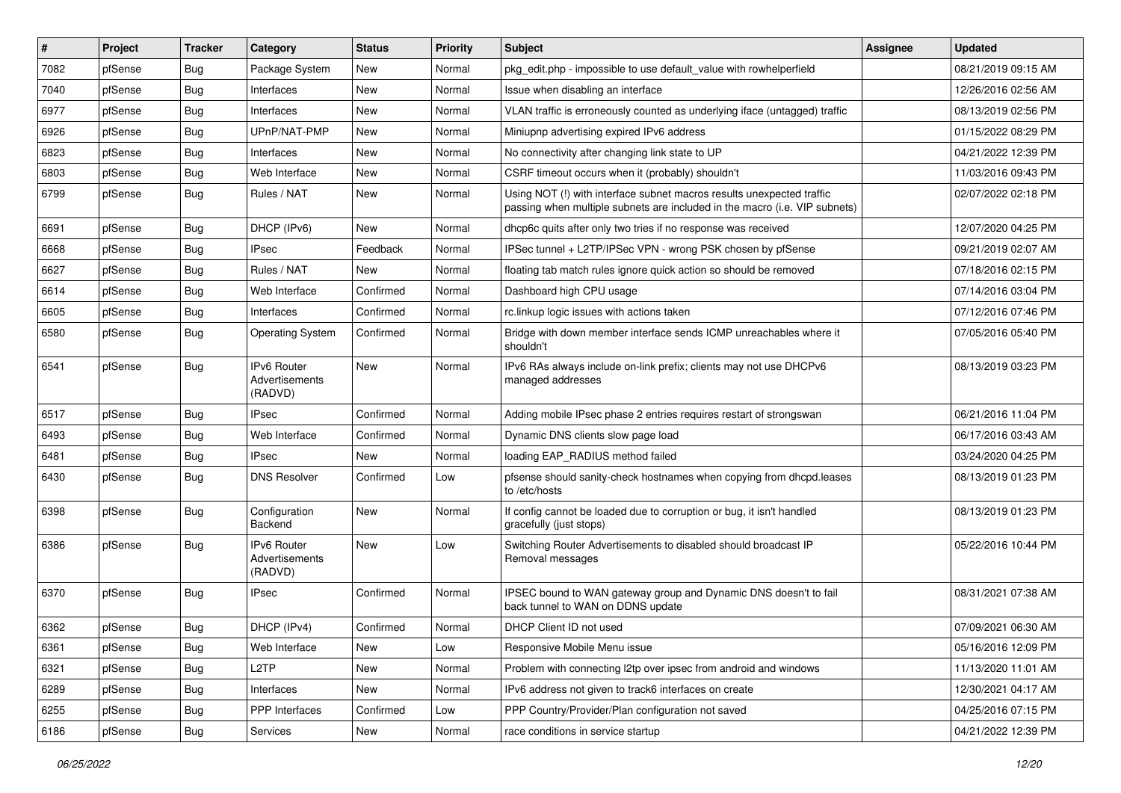| #    | Project | <b>Tracker</b> | Category                                        | <b>Status</b> | <b>Priority</b> | <b>Subject</b>                                                                                                                                      | Assignee | <b>Updated</b>      |
|------|---------|----------------|-------------------------------------------------|---------------|-----------------|-----------------------------------------------------------------------------------------------------------------------------------------------------|----------|---------------------|
| 7082 | pfSense | Bug            | Package System                                  | <b>New</b>    | Normal          | pkg edit.php - impossible to use default value with rowhelperfield                                                                                  |          | 08/21/2019 09:15 AM |
| 7040 | pfSense | Bug            | Interfaces                                      | <b>New</b>    | Normal          | Issue when disabling an interface                                                                                                                   |          | 12/26/2016 02:56 AM |
| 6977 | pfSense | Bug            | Interfaces                                      | New           | Normal          | VLAN traffic is erroneously counted as underlying iface (untagged) traffic                                                                          |          | 08/13/2019 02:56 PM |
| 6926 | pfSense | Bug            | UPnP/NAT-PMP                                    | <b>New</b>    | Normal          | Miniupnp advertising expired IPv6 address                                                                                                           |          | 01/15/2022 08:29 PM |
| 6823 | pfSense | Bug            | Interfaces                                      | <b>New</b>    | Normal          | No connectivity after changing link state to UP                                                                                                     |          | 04/21/2022 12:39 PM |
| 6803 | pfSense | <b>Bug</b>     | Web Interface                                   | <b>New</b>    | Normal          | CSRF timeout occurs when it (probably) shouldn't                                                                                                    |          | 11/03/2016 09:43 PM |
| 6799 | pfSense | Bug            | Rules / NAT                                     | New           | Normal          | Using NOT (!) with interface subnet macros results unexpected traffic<br>passing when multiple subnets are included in the macro (i.e. VIP subnets) |          | 02/07/2022 02:18 PM |
| 6691 | pfSense | <b>Bug</b>     | DHCP (IPv6)                                     | <b>New</b>    | Normal          | dhcp6c quits after only two tries if no response was received                                                                                       |          | 12/07/2020 04:25 PM |
| 6668 | pfSense | <b>Bug</b>     | <b>IPsec</b>                                    | Feedback      | Normal          | IPSec tunnel + L2TP/IPSec VPN - wrong PSK chosen by pfSense                                                                                         |          | 09/21/2019 02:07 AM |
| 6627 | pfSense | Bug            | Rules / NAT                                     | New           | Normal          | floating tab match rules ignore quick action so should be removed                                                                                   |          | 07/18/2016 02:15 PM |
| 6614 | pfSense | <b>Bug</b>     | Web Interface                                   | Confirmed     | Normal          | Dashboard high CPU usage                                                                                                                            |          | 07/14/2016 03:04 PM |
| 6605 | pfSense | <b>Bug</b>     | Interfaces                                      | Confirmed     | Normal          | rc.linkup logic issues with actions taken                                                                                                           |          | 07/12/2016 07:46 PM |
| 6580 | pfSense | Bug            | <b>Operating System</b>                         | Confirmed     | Normal          | Bridge with down member interface sends ICMP unreachables where it<br>shouldn't                                                                     |          | 07/05/2016 05:40 PM |
| 6541 | pfSense | <b>Bug</b>     | <b>IPv6 Router</b><br>Advertisements<br>(RADVD) | <b>New</b>    | Normal          | IPv6 RAs always include on-link prefix; clients may not use DHCPv6<br>managed addresses                                                             |          | 08/13/2019 03:23 PM |
| 6517 | pfSense | Bug            | <b>IPsec</b>                                    | Confirmed     | Normal          | Adding mobile IPsec phase 2 entries requires restart of strongswan                                                                                  |          | 06/21/2016 11:04 PM |
| 6493 | pfSense | Bug            | Web Interface                                   | Confirmed     | Normal          | Dynamic DNS clients slow page load                                                                                                                  |          | 06/17/2016 03:43 AM |
| 6481 | pfSense | <b>Bug</b>     | <b>IPsec</b>                                    | <b>New</b>    | Normal          | loading EAP_RADIUS method failed                                                                                                                    |          | 03/24/2020 04:25 PM |
| 6430 | pfSense | Bug            | <b>DNS Resolver</b>                             | Confirmed     | Low             | pfsense should sanity-check hostnames when copying from dhcpd.leases<br>to /etc/hosts                                                               |          | 08/13/2019 01:23 PM |
| 6398 | pfSense | <b>Bug</b>     | Configuration<br><b>Backend</b>                 | New           | Normal          | If config cannot be loaded due to corruption or bug, it isn't handled<br>gracefully (just stops)                                                    |          | 08/13/2019 01:23 PM |
| 6386 | pfSense | Bug            | IPv6 Router<br>Advertisements<br>(RADVD)        | New           | Low             | Switching Router Advertisements to disabled should broadcast IP<br>Removal messages                                                                 |          | 05/22/2016 10:44 PM |
| 6370 | pfSense | Bug            | <b>IPsec</b>                                    | Confirmed     | Normal          | IPSEC bound to WAN gateway group and Dynamic DNS doesn't to fail<br>back tunnel to WAN on DDNS update                                               |          | 08/31/2021 07:38 AM |
| 6362 | pfSense | Bug            | DHCP (IPv4)                                     | Confirmed     | Normal          | DHCP Client ID not used                                                                                                                             |          | 07/09/2021 06:30 AM |
| 6361 | pfSense | Bug            | Web Interface                                   | New           | Low             | Responsive Mobile Menu issue                                                                                                                        |          | 05/16/2016 12:09 PM |
| 6321 | pfSense | Bug            | L <sub>2</sub> TP                               | New           | Normal          | Problem with connecting I2tp over ipsec from android and windows                                                                                    |          | 11/13/2020 11:01 AM |
| 6289 | pfSense | <b>Bug</b>     | Interfaces                                      | New           | Normal          | IPv6 address not given to track6 interfaces on create                                                                                               |          | 12/30/2021 04:17 AM |
| 6255 | pfSense | <b>Bug</b>     | PPP Interfaces                                  | Confirmed     | Low             | PPP Country/Provider/Plan configuration not saved                                                                                                   |          | 04/25/2016 07:15 PM |
| 6186 | pfSense | <b>Bug</b>     | Services                                        | New           | Normal          | race conditions in service startup                                                                                                                  |          | 04/21/2022 12:39 PM |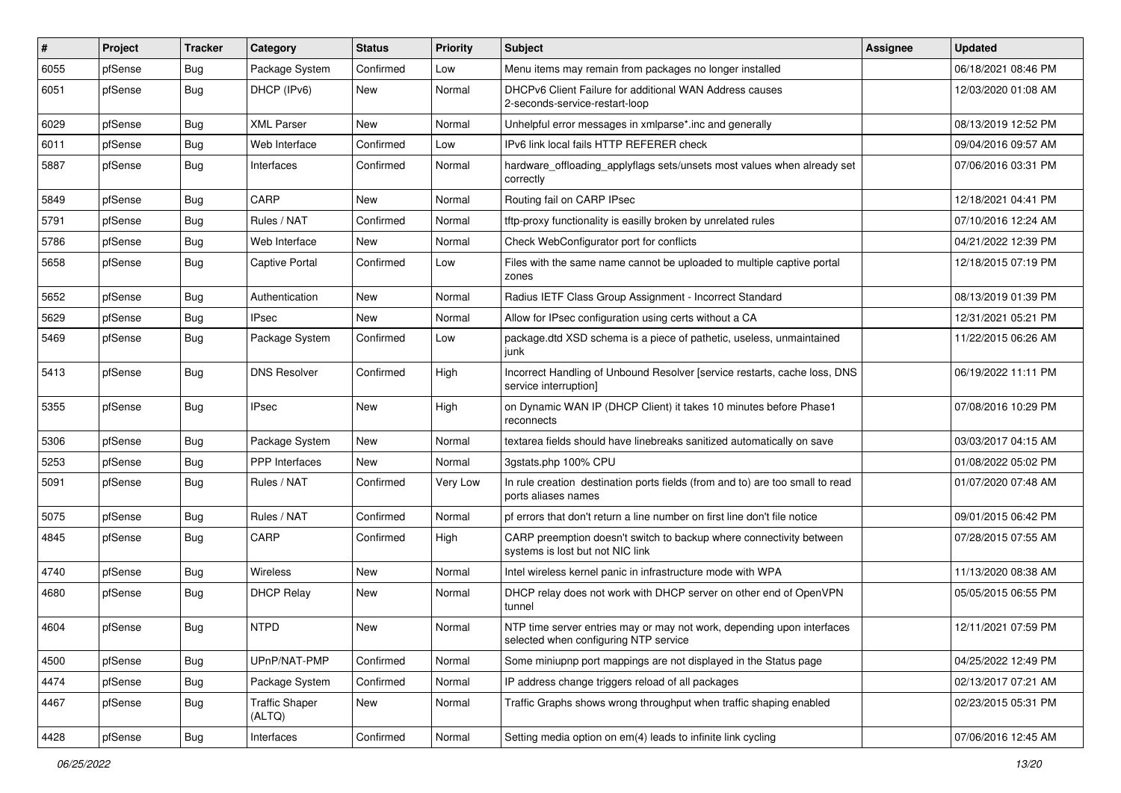| $\vert$ # | Project | <b>Tracker</b> | Category                        | <b>Status</b> | <b>Priority</b> | Subject                                                                                                         | Assignee | <b>Updated</b>      |
|-----------|---------|----------------|---------------------------------|---------------|-----------------|-----------------------------------------------------------------------------------------------------------------|----------|---------------------|
| 6055      | pfSense | <b>Bug</b>     | Package System                  | Confirmed     | Low             | Menu items may remain from packages no longer installed                                                         |          | 06/18/2021 08:46 PM |
| 6051      | pfSense | Bug            | DHCP (IPv6)                     | New           | Normal          | DHCPv6 Client Failure for additional WAN Address causes<br>2-seconds-service-restart-loop                       |          | 12/03/2020 01:08 AM |
| 6029      | pfSense | Bug            | <b>XML Parser</b>               | <b>New</b>    | Normal          | Unhelpful error messages in xmlparse*.inc and generally                                                         |          | 08/13/2019 12:52 PM |
| 6011      | pfSense | Bug            | Web Interface                   | Confirmed     | Low             | IPv6 link local fails HTTP REFERER check                                                                        |          | 09/04/2016 09:57 AM |
| 5887      | pfSense | <b>Bug</b>     | Interfaces                      | Confirmed     | Normal          | hardware_offloading_applyflags sets/unsets most values when already set<br>correctly                            |          | 07/06/2016 03:31 PM |
| 5849      | pfSense | <b>Bug</b>     | CARP                            | <b>New</b>    | Normal          | Routing fail on CARP IPsec                                                                                      |          | 12/18/2021 04:41 PM |
| 5791      | pfSense | Bug            | Rules / NAT                     | Confirmed     | Normal          | tftp-proxy functionality is easilly broken by unrelated rules                                                   |          | 07/10/2016 12:24 AM |
| 5786      | pfSense | <b>Bug</b>     | Web Interface                   | New           | Normal          | Check WebConfigurator port for conflicts                                                                        |          | 04/21/2022 12:39 PM |
| 5658      | pfSense | <b>Bug</b>     | Captive Portal                  | Confirmed     | Low             | Files with the same name cannot be uploaded to multiple captive portal<br>zones                                 |          | 12/18/2015 07:19 PM |
| 5652      | pfSense | <b>Bug</b>     | Authentication                  | New           | Normal          | Radius IETF Class Group Assignment - Incorrect Standard                                                         |          | 08/13/2019 01:39 PM |
| 5629      | pfSense | <b>Bug</b>     | IPsec                           | <b>New</b>    | Normal          | Allow for IPsec configuration using certs without a CA                                                          |          | 12/31/2021 05:21 PM |
| 5469      | pfSense | <b>Bug</b>     | Package System                  | Confirmed     | Low             | package.dtd XSD schema is a piece of pathetic, useless, unmaintained<br>junk                                    |          | 11/22/2015 06:26 AM |
| 5413      | pfSense | <b>Bug</b>     | <b>DNS Resolver</b>             | Confirmed     | High            | Incorrect Handling of Unbound Resolver [service restarts, cache loss, DNS<br>service interruption]              |          | 06/19/2022 11:11 PM |
| 5355      | pfSense | <b>Bug</b>     | <b>IPsec</b>                    | <b>New</b>    | High            | on Dynamic WAN IP (DHCP Client) it takes 10 minutes before Phase1<br>reconnects                                 |          | 07/08/2016 10:29 PM |
| 5306      | pfSense | <b>Bug</b>     | Package System                  | <b>New</b>    | Normal          | textarea fields should have linebreaks sanitized automatically on save                                          |          | 03/03/2017 04:15 AM |
| 5253      | pfSense | <b>Bug</b>     | PPP Interfaces                  | New           | Normal          | 3gstats.php 100% CPU                                                                                            |          | 01/08/2022 05:02 PM |
| 5091      | pfSense | <b>Bug</b>     | Rules / NAT                     | Confirmed     | Very Low        | In rule creation destination ports fields (from and to) are too small to read<br>ports aliases names            |          | 01/07/2020 07:48 AM |
| 5075      | pfSense | <b>Bug</b>     | Rules / NAT                     | Confirmed     | Normal          | pf errors that don't return a line number on first line don't file notice                                       |          | 09/01/2015 06:42 PM |
| 4845      | pfSense | Bug            | CARP                            | Confirmed     | High            | CARP preemption doesn't switch to backup where connectivity between<br>systems is lost but not NIC link         |          | 07/28/2015 07:55 AM |
| 4740      | pfSense | <b>Bug</b>     | Wireless                        | <b>New</b>    | Normal          | Intel wireless kernel panic in infrastructure mode with WPA                                                     |          | 11/13/2020 08:38 AM |
| 4680      | pfSense | <b>Bug</b>     | <b>DHCP Relay</b>               | New           | Normal          | DHCP relay does not work with DHCP server on other end of OpenVPN<br>tunnel                                     |          | 05/05/2015 06:55 PM |
| 4604      | pfSense | Bug            | <b>NTPD</b>                     | New           | Normal          | NTP time server entries may or may not work, depending upon interfaces<br>selected when configuring NTP service |          | 12/11/2021 07:59 PM |
| 4500      | pfSense | Bug            | UPnP/NAT-PMP                    | Confirmed     | Normal          | Some miniupnp port mappings are not displayed in the Status page                                                |          | 04/25/2022 12:49 PM |
| 4474      | pfSense | <b>Bug</b>     | Package System                  | Confirmed     | Normal          | IP address change triggers reload of all packages                                                               |          | 02/13/2017 07:21 AM |
| 4467      | pfSense | <b>Bug</b>     | <b>Traffic Shaper</b><br>(ALTQ) | New           | Normal          | Traffic Graphs shows wrong throughput when traffic shaping enabled                                              |          | 02/23/2015 05:31 PM |
| 4428      | pfSense | Bug            | Interfaces                      | Confirmed     | Normal          | Setting media option on em(4) leads to infinite link cycling                                                    |          | 07/06/2016 12:45 AM |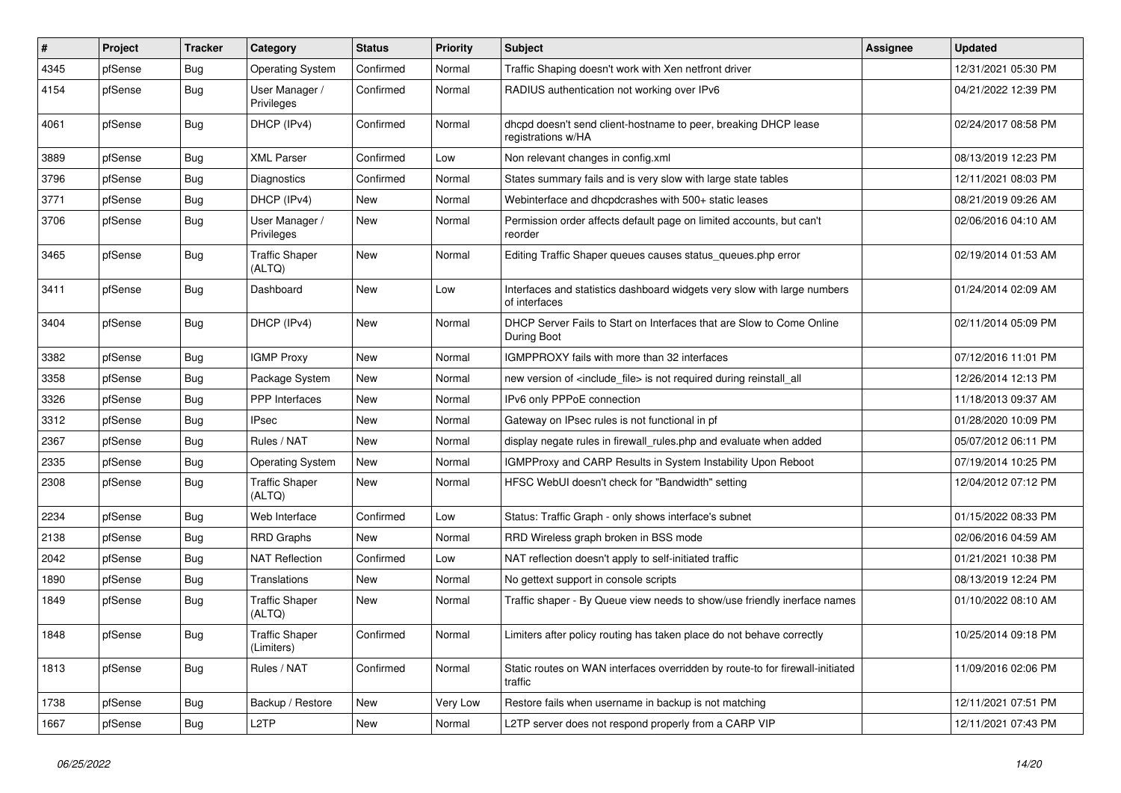| #    | Project | <b>Tracker</b> | Category                            | <b>Status</b> | <b>Priority</b> | <b>Subject</b>                                                                            | Assignee | <b>Updated</b>      |
|------|---------|----------------|-------------------------------------|---------------|-----------------|-------------------------------------------------------------------------------------------|----------|---------------------|
| 4345 | pfSense | <b>Bug</b>     | <b>Operating System</b>             | Confirmed     | Normal          | Traffic Shaping doesn't work with Xen netfront driver                                     |          | 12/31/2021 05:30 PM |
| 4154 | pfSense | <b>Bug</b>     | User Manager /<br>Privileges        | Confirmed     | Normal          | RADIUS authentication not working over IPv6                                               |          | 04/21/2022 12:39 PM |
| 4061 | pfSense | <b>Bug</b>     | DHCP (IPv4)                         | Confirmed     | Normal          | dhcpd doesn't send client-hostname to peer, breaking DHCP lease<br>registrations w/HA     |          | 02/24/2017 08:58 PM |
| 3889 | pfSense | Bug            | <b>XML Parser</b>                   | Confirmed     | Low             | Non relevant changes in config.xml                                                        |          | 08/13/2019 12:23 PM |
| 3796 | pfSense | <b>Bug</b>     | Diagnostics                         | Confirmed     | Normal          | States summary fails and is very slow with large state tables                             |          | 12/11/2021 08:03 PM |
| 3771 | pfSense | Bug            | DHCP (IPv4)                         | <b>New</b>    | Normal          | Webinterface and dhcpdcrashes with 500+ static leases                                     |          | 08/21/2019 09:26 AM |
| 3706 | pfSense | <b>Bug</b>     | User Manager /<br>Privileges        | New           | Normal          | Permission order affects default page on limited accounts, but can't<br>reorder           |          | 02/06/2016 04:10 AM |
| 3465 | pfSense | <b>Bug</b>     | <b>Traffic Shaper</b><br>(ALTQ)     | <b>New</b>    | Normal          | Editing Traffic Shaper queues causes status_queues.php error                              |          | 02/19/2014 01:53 AM |
| 3411 | pfSense | <b>Bug</b>     | Dashboard                           | <b>New</b>    | Low             | Interfaces and statistics dashboard widgets very slow with large numbers<br>of interfaces |          | 01/24/2014 02:09 AM |
| 3404 | pfSense | <b>Bug</b>     | DHCP (IPv4)                         | <b>New</b>    | Normal          | DHCP Server Fails to Start on Interfaces that are Slow to Come Online<br>During Boot      |          | 02/11/2014 05:09 PM |
| 3382 | pfSense | Bug            | <b>IGMP Proxy</b>                   | <b>New</b>    | Normal          | IGMPPROXY fails with more than 32 interfaces                                              |          | 07/12/2016 11:01 PM |
| 3358 | pfSense | <b>Bug</b>     | Package System                      | New           | Normal          | new version of <include_file> is not required during reinstall_all</include_file>         |          | 12/26/2014 12:13 PM |
| 3326 | pfSense | Bug            | <b>PPP</b> Interfaces               | <b>New</b>    | Normal          | IPv6 only PPPoE connection                                                                |          | 11/18/2013 09:37 AM |
| 3312 | pfSense | <b>Bug</b>     | <b>IPsec</b>                        | New           | Normal          | Gateway on IPsec rules is not functional in pf                                            |          | 01/28/2020 10:09 PM |
| 2367 | pfSense | <b>Bug</b>     | Rules / NAT                         | New           | Normal          | display negate rules in firewall_rules.php and evaluate when added                        |          | 05/07/2012 06:11 PM |
| 2335 | pfSense | <b>Bug</b>     | <b>Operating System</b>             | New           | Normal          | IGMPProxy and CARP Results in System Instability Upon Reboot                              |          | 07/19/2014 10:25 PM |
| 2308 | pfSense | <b>Bug</b>     | <b>Traffic Shaper</b><br>(ALTQ)     | <b>New</b>    | Normal          | HFSC WebUI doesn't check for "Bandwidth" setting                                          |          | 12/04/2012 07:12 PM |
| 2234 | pfSense | <b>Bug</b>     | Web Interface                       | Confirmed     | Low             | Status: Traffic Graph - only shows interface's subnet                                     |          | 01/15/2022 08:33 PM |
| 2138 | pfSense | <b>Bug</b>     | <b>RRD Graphs</b>                   | New           | Normal          | RRD Wireless graph broken in BSS mode                                                     |          | 02/06/2016 04:59 AM |
| 2042 | pfSense | Bug            | <b>NAT Reflection</b>               | Confirmed     | Low             | NAT reflection doesn't apply to self-initiated traffic                                    |          | 01/21/2021 10:38 PM |
| 1890 | pfSense | <b>Bug</b>     | Translations                        | New           | Normal          | No gettext support in console scripts                                                     |          | 08/13/2019 12:24 PM |
| 1849 | pfSense | <b>Bug</b>     | <b>Traffic Shaper</b><br>(ALTQ)     | New           | Normal          | Traffic shaper - By Queue view needs to show/use friendly inerface names                  |          | 01/10/2022 08:10 AM |
| 1848 | pfSense | <b>Bug</b>     | <b>Traffic Shaper</b><br>(Limiters) | Confirmed     | Normal          | Limiters after policy routing has taken place do not behave correctly                     |          | 10/25/2014 09:18 PM |
| 1813 | pfSense | <b>Bug</b>     | Rules / NAT                         | Confirmed     | Normal          | Static routes on WAN interfaces overridden by route-to for firewall-initiated<br>traffic  |          | 11/09/2016 02:06 PM |
| 1738 | pfSense | Bug            | Backup / Restore                    | New           | Very Low        | Restore fails when username in backup is not matching                                     |          | 12/11/2021 07:51 PM |
| 1667 | pfSense | <b>Bug</b>     | L2TP                                | New           | Normal          | L2TP server does not respond properly from a CARP VIP                                     |          | 12/11/2021 07:43 PM |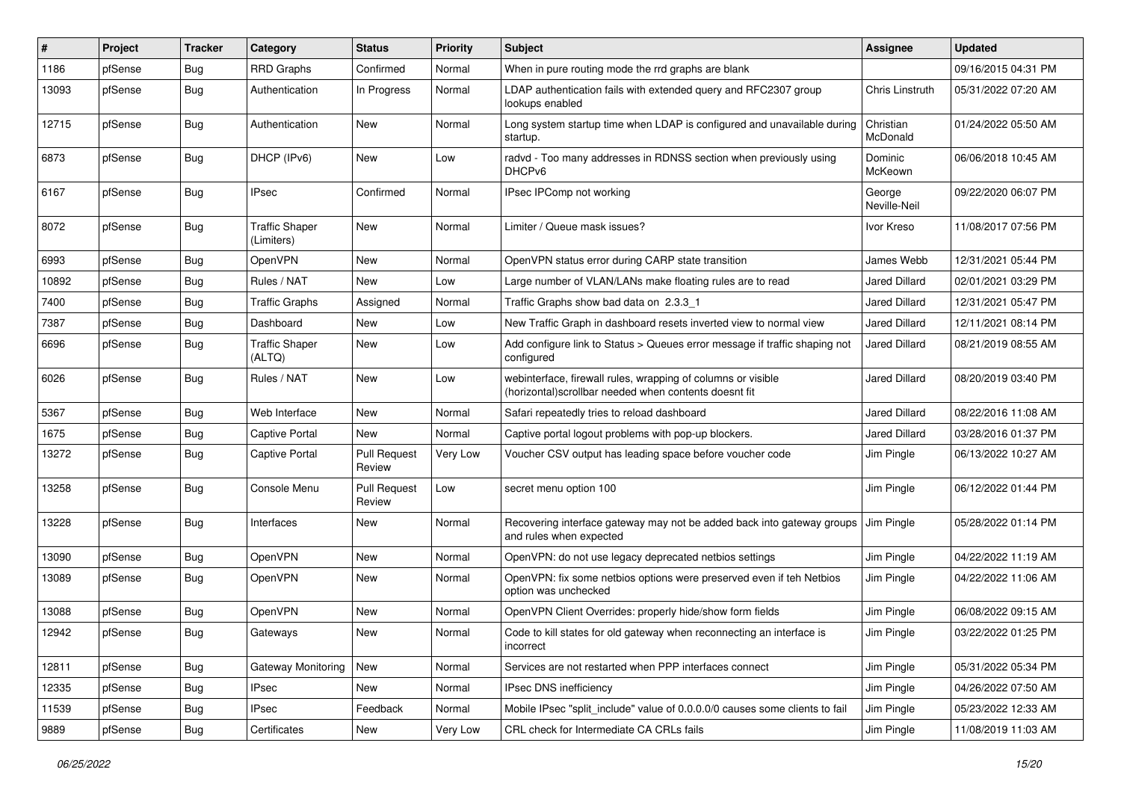| #     | Project | Tracker    | Category                            | <b>Status</b>                 | <b>Priority</b> | <b>Subject</b>                                                                                                         | Assignee               | <b>Updated</b>      |
|-------|---------|------------|-------------------------------------|-------------------------------|-----------------|------------------------------------------------------------------------------------------------------------------------|------------------------|---------------------|
| 1186  | pfSense | Bug        | <b>RRD Graphs</b>                   | Confirmed                     | Normal          | When in pure routing mode the rrd graphs are blank                                                                     |                        | 09/16/2015 04:31 PM |
| 13093 | pfSense | <b>Bug</b> | Authentication                      | In Progress                   | Normal          | LDAP authentication fails with extended query and RFC2307 group<br>lookups enabled                                     | Chris Linstruth        | 05/31/2022 07:20 AM |
| 12715 | pfSense | Bug        | Authentication                      | New                           | Normal          | Long system startup time when LDAP is configured and unavailable during<br>startup.                                    | Christian<br>McDonald  | 01/24/2022 05:50 AM |
| 6873  | pfSense | <b>Bug</b> | DHCP (IPv6)                         | New                           | Low             | radvd - Too many addresses in RDNSS section when previously using<br>DHCP <sub>v6</sub>                                | Dominic<br>McKeown     | 06/06/2018 10:45 AM |
| 6167  | pfSense | <b>Bug</b> | <b>IPsec</b>                        | Confirmed                     | Normal          | IPsec IPComp not working                                                                                               | George<br>Neville-Neil | 09/22/2020 06:07 PM |
| 8072  | pfSense | <b>Bug</b> | <b>Traffic Shaper</b><br>(Limiters) | New                           | Normal          | Limiter / Queue mask issues?                                                                                           | Ivor Kreso             | 11/08/2017 07:56 PM |
| 6993  | pfSense | Bug        | OpenVPN                             | New                           | Normal          | OpenVPN status error during CARP state transition                                                                      | James Webb             | 12/31/2021 05:44 PM |
| 10892 | pfSense | Bug        | Rules / NAT                         | New                           | Low             | Large number of VLAN/LANs make floating rules are to read                                                              | Jared Dillard          | 02/01/2021 03:29 PM |
| 7400  | pfSense | Bug        | <b>Traffic Graphs</b>               | Assigned                      | Normal          | Traffic Graphs show bad data on 2.3.3 1                                                                                | <b>Jared Dillard</b>   | 12/31/2021 05:47 PM |
| 7387  | pfSense | Bug        | Dashboard                           | New                           | Low             | New Traffic Graph in dashboard resets inverted view to normal view                                                     | Jared Dillard          | 12/11/2021 08:14 PM |
| 6696  | pfSense | <b>Bug</b> | <b>Traffic Shaper</b><br>(ALTQ)     | New                           | Low             | Add configure link to Status > Queues error message if traffic shaping not<br>configured                               | Jared Dillard          | 08/21/2019 08:55 AM |
| 6026  | pfSense | <b>Bug</b> | Rules / NAT                         | New                           | Low             | webinterface, firewall rules, wrapping of columns or visible<br>(horizontal) scrollbar needed when contents doesnt fit | Jared Dillard          | 08/20/2019 03:40 PM |
| 5367  | pfSense | Bug        | Web Interface                       | New                           | Normal          | Safari repeatedly tries to reload dashboard                                                                            | Jared Dillard          | 08/22/2016 11:08 AM |
| 1675  | pfSense | <b>Bug</b> | Captive Portal                      | New                           | Normal          | Captive portal logout problems with pop-up blockers.                                                                   | Jared Dillard          | 03/28/2016 01:37 PM |
| 13272 | pfSense | Bug        | <b>Captive Portal</b>               | <b>Pull Request</b><br>Review | Very Low        | Voucher CSV output has leading space before voucher code                                                               | Jim Pingle             | 06/13/2022 10:27 AM |
| 13258 | pfSense | Bug        | Console Menu                        | <b>Pull Request</b><br>Review | Low             | secret menu option 100                                                                                                 | Jim Pingle             | 06/12/2022 01:44 PM |
| 13228 | pfSense | Bug        | Interfaces                          | New                           | Normal          | Recovering interface gateway may not be added back into gateway groups<br>and rules when expected                      | Jim Pingle             | 05/28/2022 01:14 PM |
| 13090 | pfSense | Bug        | OpenVPN                             | New                           | Normal          | OpenVPN: do not use legacy deprecated netbios settings                                                                 | Jim Pingle             | 04/22/2022 11:19 AM |
| 13089 | pfSense | <b>Bug</b> | OpenVPN                             | New                           | Normal          | OpenVPN: fix some netbios options were preserved even if teh Netbios<br>option was unchecked                           | Jim Pingle             | 04/22/2022 11:06 AM |
| 13088 | pfSense | Bug        | OpenVPN                             | New                           | Normal          | OpenVPN Client Overrides: properly hide/show form fields                                                               | Jim Pingle             | 06/08/2022 09:15 AM |
| 12942 | pfSense | <b>Bug</b> | Gateways                            | New                           | Normal          | Code to kill states for old gateway when reconnecting an interface is<br>incorrect                                     | Jim Pingle             | 03/22/2022 01:25 PM |
| 12811 | pfSense | Bug        | Gateway Monitoring                  | New                           | Normal          | Services are not restarted when PPP interfaces connect                                                                 | Jim Pingle             | 05/31/2022 05:34 PM |
| 12335 | pfSense | <b>Bug</b> | <b>IPsec</b>                        | New                           | Normal          | IPsec DNS inefficiency                                                                                                 | Jim Pingle             | 04/26/2022 07:50 AM |
| 11539 | pfSense | <b>Bug</b> | <b>IPsec</b>                        | Feedback                      | Normal          | Mobile IPsec "split_include" value of 0.0.0.0/0 causes some clients to fail                                            | Jim Pingle             | 05/23/2022 12:33 AM |
| 9889  | pfSense | <b>Bug</b> | Certificates                        | New                           | Very Low        | CRL check for Intermediate CA CRLs fails                                                                               | Jim Pingle             | 11/08/2019 11:03 AM |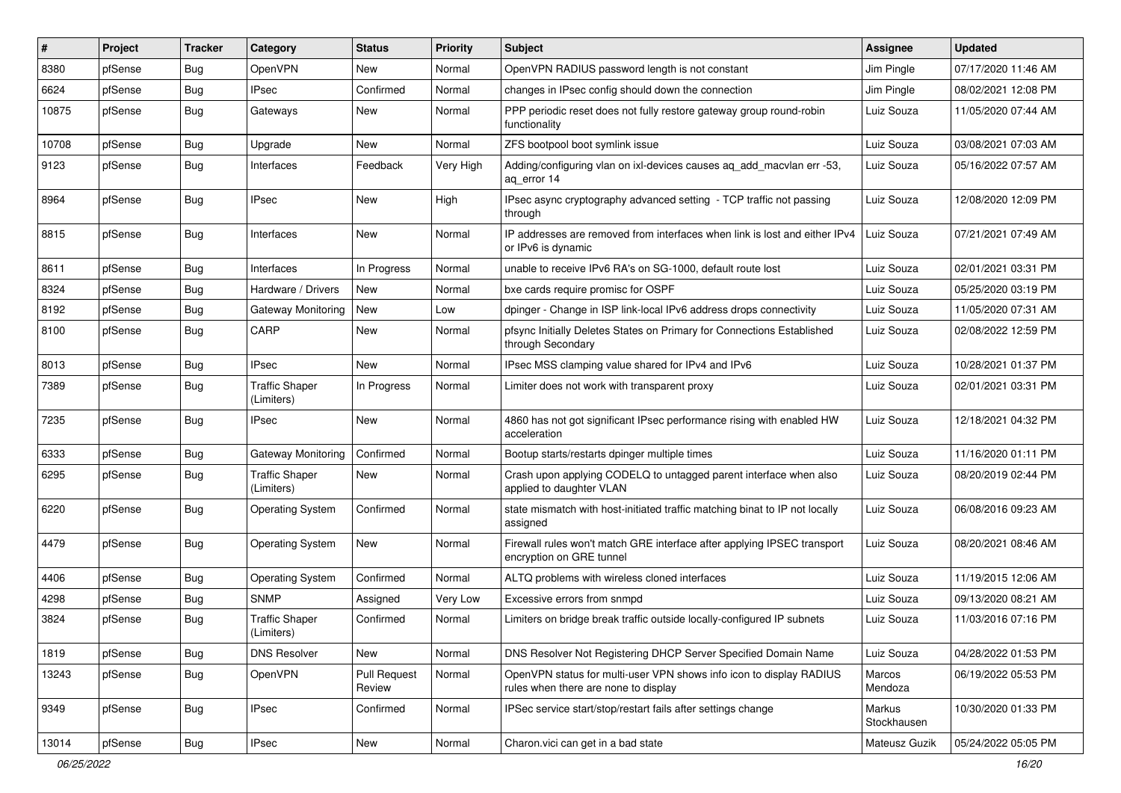| ∦     | Project | Tracker    | Category                            | <b>Status</b>                 | <b>Priority</b> | Subject                                                                                                     | Assignee              | <b>Updated</b>      |
|-------|---------|------------|-------------------------------------|-------------------------------|-----------------|-------------------------------------------------------------------------------------------------------------|-----------------------|---------------------|
| 8380  | pfSense | <b>Bug</b> | OpenVPN                             | New                           | Normal          | OpenVPN RADIUS password length is not constant                                                              | Jim Pingle            | 07/17/2020 11:46 AM |
| 6624  | pfSense | <b>Bug</b> | <b>IPsec</b>                        | Confirmed                     | Normal          | changes in IPsec config should down the connection                                                          | Jim Pingle            | 08/02/2021 12:08 PM |
| 10875 | pfSense | Bug        | Gateways                            | New                           | Normal          | PPP periodic reset does not fully restore gateway group round-robin<br>functionality                        | Luiz Souza            | 11/05/2020 07:44 AM |
| 10708 | pfSense | Bug        | Upgrade                             | New                           | Normal          | ZFS bootpool boot symlink issue                                                                             | Luiz Souza            | 03/08/2021 07:03 AM |
| 9123  | pfSense | Bug        | Interfaces                          | Feedback                      | Very High       | Adding/configuring vlan on ixl-devices causes ag add macvlan err -53,<br>ag error 14                        | Luiz Souza            | 05/16/2022 07:57 AM |
| 8964  | pfSense | Bug        | <b>IPsec</b>                        | <b>New</b>                    | High            | IPsec async cryptography advanced setting - TCP traffic not passing<br>through                              | Luiz Souza            | 12/08/2020 12:09 PM |
| 8815  | pfSense | Bug        | Interfaces                          | New                           | Normal          | IP addresses are removed from interfaces when link is lost and either IPv4<br>or IPv6 is dynamic            | Luiz Souza            | 07/21/2021 07:49 AM |
| 8611  | pfSense | Bug        | Interfaces                          | In Progress                   | Normal          | unable to receive IPv6 RA's on SG-1000, default route lost                                                  | Luiz Souza            | 02/01/2021 03:31 PM |
| 8324  | pfSense | Bug        | Hardware / Drivers                  | <b>New</b>                    | Normal          | bxe cards require promisc for OSPF                                                                          | Luiz Souza            | 05/25/2020 03:19 PM |
| 8192  | pfSense | Bug        | Gateway Monitoring                  | New                           | Low             | dpinger - Change in ISP link-local IPv6 address drops connectivity                                          | Luiz Souza            | 11/05/2020 07:31 AM |
| 8100  | pfSense | Bug        | CARP                                | New                           | Normal          | pfsync Initially Deletes States on Primary for Connections Established<br>through Secondary                 | Luiz Souza            | 02/08/2022 12:59 PM |
| 8013  | pfSense | Bug        | <b>IPsec</b>                        | New                           | Normal          | IPsec MSS clamping value shared for IPv4 and IPv6                                                           | Luiz Souza            | 10/28/2021 01:37 PM |
| 7389  | pfSense | Bug        | <b>Traffic Shaper</b><br>(Limiters) | In Progress                   | Normal          | Limiter does not work with transparent proxy                                                                | Luiz Souza            | 02/01/2021 03:31 PM |
| 7235  | pfSense | Bug        | <b>IPsec</b>                        | New                           | Normal          | 4860 has not got significant IPsec performance rising with enabled HW<br>acceleration                       | Luiz Souza            | 12/18/2021 04:32 PM |
| 6333  | pfSense | Bug        | Gateway Monitoring                  | Confirmed                     | Normal          | Bootup starts/restarts dpinger multiple times                                                               | Luiz Souza            | 11/16/2020 01:11 PM |
| 6295  | pfSense | <b>Bug</b> | <b>Traffic Shaper</b><br>(Limiters) | New                           | Normal          | Crash upon applying CODELQ to untagged parent interface when also<br>applied to daughter VLAN               | Luiz Souza            | 08/20/2019 02:44 PM |
| 6220  | pfSense | Bug        | <b>Operating System</b>             | Confirmed                     | Normal          | state mismatch with host-initiated traffic matching binat to IP not locally<br>assigned                     | Luiz Souza            | 06/08/2016 09:23 AM |
| 4479  | pfSense | Bug        | <b>Operating System</b>             | New                           | Normal          | Firewall rules won't match GRE interface after applying IPSEC transport<br>encryption on GRE tunnel         | Luiz Souza            | 08/20/2021 08:46 AM |
| 4406  | pfSense | <b>Bug</b> | <b>Operating System</b>             | Confirmed                     | Normal          | ALTQ problems with wireless cloned interfaces                                                               | Luiz Souza            | 11/19/2015 12:06 AM |
| 4298  | pfSense | <b>Bug</b> | <b>SNMP</b>                         | Assigned                      | Very Low        | Excessive errors from snmpd                                                                                 | Luiz Souza            | 09/13/2020 08:21 AM |
| 3824  | pfSense | <b>Bug</b> | <b>Traffic Shaper</b><br>(Limiters) | Confirmed                     | Normal          | Limiters on bridge break traffic outside locally-configured IP subnets                                      | Luiz Souza            | 11/03/2016 07:16 PM |
| 1819  | pfSense | Bug        | <b>DNS Resolver</b>                 | New                           | Normal          | DNS Resolver Not Registering DHCP Server Specified Domain Name                                              | Luiz Souza            | 04/28/2022 01:53 PM |
| 13243 | pfSense | Bug        | OpenVPN                             | <b>Pull Request</b><br>Review | Normal          | OpenVPN status for multi-user VPN shows info icon to display RADIUS<br>rules when there are none to display | Marcos<br>Mendoza     | 06/19/2022 05:53 PM |
| 9349  | pfSense | Bug        | <b>IPsec</b>                        | Confirmed                     | Normal          | IPSec service start/stop/restart fails after settings change                                                | Markus<br>Stockhausen | 10/30/2020 01:33 PM |
| 13014 | pfSense | Bug        | <b>IPsec</b>                        | New                           | Normal          | Charon.vici can get in a bad state                                                                          | Mateusz Guzik         | 05/24/2022 05:05 PM |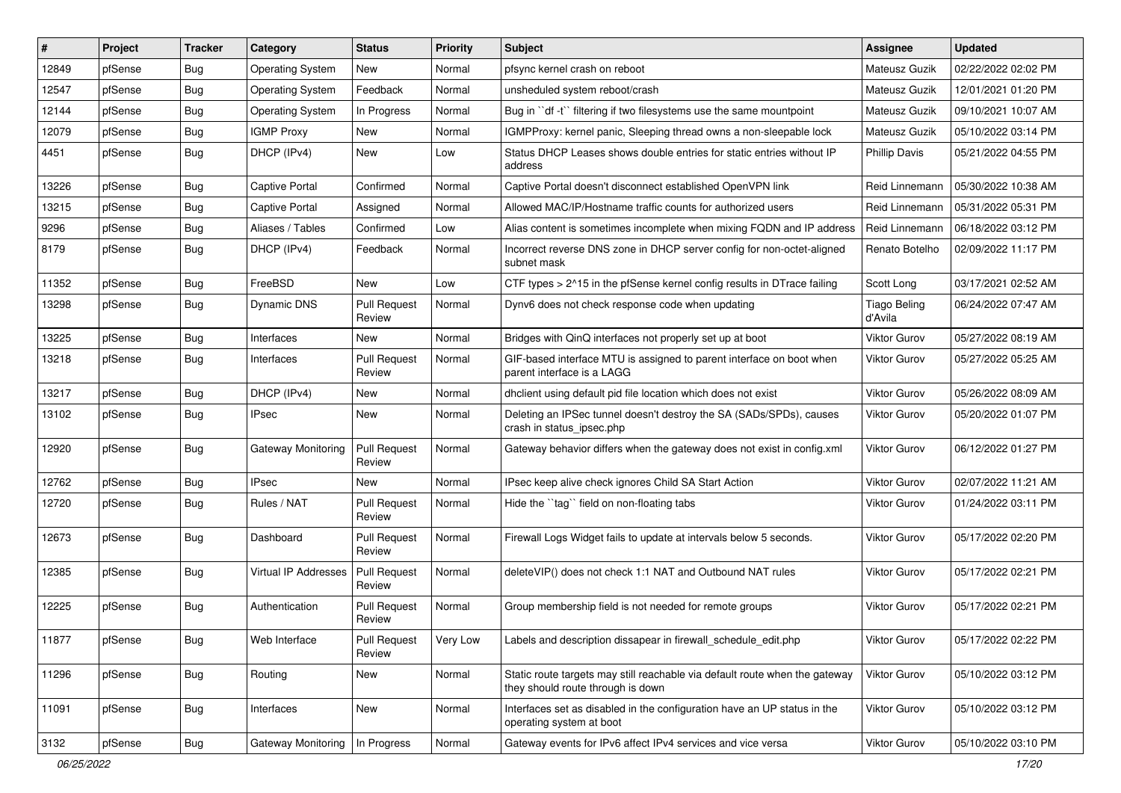| #     | Project | <b>Tracker</b> | Category                | <b>Status</b>                 | <b>Priority</b> | <b>Subject</b>                                                                                                   | <b>Assignee</b>                | <b>Updated</b>      |
|-------|---------|----------------|-------------------------|-------------------------------|-----------------|------------------------------------------------------------------------------------------------------------------|--------------------------------|---------------------|
| 12849 | pfSense | Bug            | <b>Operating System</b> | New                           | Normal          | pfsync kernel crash on reboot                                                                                    | Mateusz Guzik                  | 02/22/2022 02:02 PM |
| 12547 | pfSense | Bug            | <b>Operating System</b> | Feedback                      | Normal          | unsheduled system reboot/crash                                                                                   | Mateusz Guzik                  | 12/01/2021 01:20 PM |
| 12144 | pfSense | Bug            | <b>Operating System</b> | In Progress                   | Normal          | Bug in "df -t" filtering if two filesystems use the same mountpoint                                              | Mateusz Guzik                  | 09/10/2021 10:07 AM |
| 12079 | pfSense | Bug            | <b>IGMP Proxy</b>       | New                           | Normal          | IGMPProxy: kernel panic, Sleeping thread owns a non-sleepable lock                                               | Mateusz Guzik                  | 05/10/2022 03:14 PM |
| 4451  | pfSense | Bug            | DHCP (IPv4)             | <b>New</b>                    | Low             | Status DHCP Leases shows double entries for static entries without IP<br>address                                 | <b>Phillip Davis</b>           | 05/21/2022 04:55 PM |
| 13226 | pfSense | Bug            | Captive Portal          | Confirmed                     | Normal          | Captive Portal doesn't disconnect established OpenVPN link                                                       | Reid Linnemann                 | 05/30/2022 10:38 AM |
| 13215 | pfSense | Bug            | Captive Portal          | Assigned                      | Normal          | Allowed MAC/IP/Hostname traffic counts for authorized users                                                      | Reid Linnemann                 | 05/31/2022 05:31 PM |
| 9296  | pfSense | <b>Bug</b>     | Aliases / Tables        | Confirmed                     | Low             | Alias content is sometimes incomplete when mixing FQDN and IP address                                            | Reid Linnemann                 | 06/18/2022 03:12 PM |
| 8179  | pfSense | Bug            | DHCP (IPv4)             | Feedback                      | Normal          | Incorrect reverse DNS zone in DHCP server config for non-octet-aligned<br>subnet mask                            | Renato Botelho                 | 02/09/2022 11:17 PM |
| 11352 | pfSense | Bug            | FreeBSD                 | <b>New</b>                    | Low             | CTF types > 2^15 in the pfSense kernel config results in DTrace failing                                          | Scott Long                     | 03/17/2021 02:52 AM |
| 13298 | pfSense | Bug            | <b>Dynamic DNS</b>      | <b>Pull Request</b><br>Review | Normal          | Dynv6 does not check response code when updating                                                                 | <b>Tiago Beling</b><br>d'Avila | 06/24/2022 07:47 AM |
| 13225 | pfSense | Bug            | Interfaces              | <b>New</b>                    | Normal          | Bridges with QinQ interfaces not properly set up at boot                                                         | <b>Viktor Gurov</b>            | 05/27/2022 08:19 AM |
| 13218 | pfSense | Bug            | Interfaces              | <b>Pull Request</b><br>Review | Normal          | GIF-based interface MTU is assigned to parent interface on boot when<br>parent interface is a LAGG               | Viktor Gurov                   | 05/27/2022 05:25 AM |
| 13217 | pfSense | Bug            | DHCP (IPv4)             | <b>New</b>                    | Normal          | dhclient using default pid file location which does not exist                                                    | Viktor Gurov                   | 05/26/2022 08:09 AM |
| 13102 | pfSense | <b>Bug</b>     | <b>IPsec</b>            | New                           | Normal          | Deleting an IPSec tunnel doesn't destroy the SA (SADs/SPDs), causes<br>crash in status_ipsec.php                 | <b>Viktor Gurov</b>            | 05/20/2022 01:07 PM |
| 12920 | pfSense | Bug            | Gateway Monitoring      | <b>Pull Request</b><br>Review | Normal          | Gateway behavior differs when the gateway does not exist in config.xml                                           | <b>Viktor Gurov</b>            | 06/12/2022 01:27 PM |
| 12762 | pfSense | <b>Bug</b>     | <b>IPsec</b>            | <b>New</b>                    | Normal          | IPsec keep alive check ignores Child SA Start Action                                                             | <b>Viktor Gurov</b>            | 02/07/2022 11:21 AM |
| 12720 | pfSense | Bug            | Rules / NAT             | <b>Pull Request</b><br>Review | Normal          | Hide the "tag" field on non-floating tabs                                                                        | Viktor Gurov                   | 01/24/2022 03:11 PM |
| 12673 | pfSense | Bug            | Dashboard               | <b>Pull Request</b><br>Review | Normal          | Firewall Logs Widget fails to update at intervals below 5 seconds.                                               | Viktor Gurov                   | 05/17/2022 02:20 PM |
| 12385 | pfSense | Bug            | Virtual IP Addresses    | <b>Pull Request</b><br>Review | Normal          | deleteVIP() does not check 1:1 NAT and Outbound NAT rules                                                        | <b>Viktor Gurov</b>            | 05/17/2022 02:21 PM |
| 12225 | pfSense | Bug            | Authentication          | <b>Pull Request</b><br>Review | Normal          | Group membership field is not needed for remote groups                                                           | <b>Viktor Gurov</b>            | 05/17/2022 02:21 PM |
| 11877 | pfSense | Bug            | Web Interface           | <b>Pull Request</b><br>Review | Very Low        | Labels and description dissapear in firewall schedule edit.php                                                   | Viktor Gurov                   | 05/17/2022 02:22 PM |
| 11296 | pfSense | Bug            | Routing                 | New                           | Normal          | Static route targets may still reachable via default route when the gateway<br>they should route through is down | Viktor Gurov                   | 05/10/2022 03:12 PM |
| 11091 | pfSense | <b>Bug</b>     | Interfaces              | New                           | Normal          | Interfaces set as disabled in the configuration have an UP status in the<br>operating system at boot             | Viktor Gurov                   | 05/10/2022 03:12 PM |
| 3132  | pfSense | <b>Bug</b>     | Gateway Monitoring      | In Progress                   | Normal          | Gateway events for IPv6 affect IPv4 services and vice versa                                                      | Viktor Gurov                   | 05/10/2022 03:10 PM |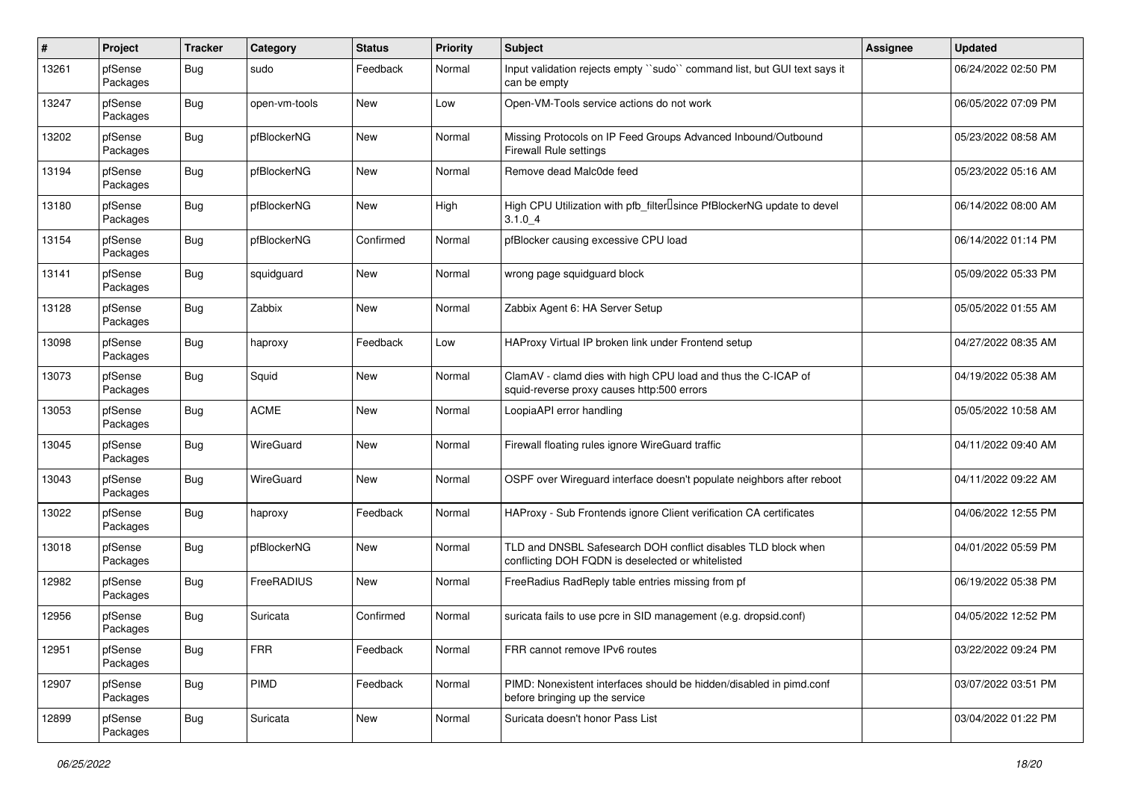| $\pmb{\#}$ | Project             | <b>Tracker</b> | Category      | <b>Status</b> | <b>Priority</b> | Subject                                                                                                            | Assignee | <b>Updated</b>      |
|------------|---------------------|----------------|---------------|---------------|-----------------|--------------------------------------------------------------------------------------------------------------------|----------|---------------------|
| 13261      | pfSense<br>Packages | Bug            | sudo          | Feedback      | Normal          | Input validation rejects empty "sudo" command list, but GUI text says it<br>can be empty                           |          | 06/24/2022 02:50 PM |
| 13247      | pfSense<br>Packages | <b>Bug</b>     | open-vm-tools | New           | Low             | Open-VM-Tools service actions do not work                                                                          |          | 06/05/2022 07:09 PM |
| 13202      | pfSense<br>Packages | Bug            | pfBlockerNG   | New           | Normal          | Missing Protocols on IP Feed Groups Advanced Inbound/Outbound<br>Firewall Rule settings                            |          | 05/23/2022 08:58 AM |
| 13194      | pfSense<br>Packages | Bug            | pfBlockerNG   | New           | Normal          | Remove dead Malc0de feed                                                                                           |          | 05/23/2022 05:16 AM |
| 13180      | pfSense<br>Packages | <b>Bug</b>     | pfBlockerNG   | New           | High            | High CPU Utilization with pfb_filter <sup>[]</sup> since PfBlockerNG update to devel<br>3.1.04                     |          | 06/14/2022 08:00 AM |
| 13154      | pfSense<br>Packages | Bug            | pfBlockerNG   | Confirmed     | Normal          | pfBlocker causing excessive CPU load                                                                               |          | 06/14/2022 01:14 PM |
| 13141      | pfSense<br>Packages | Bug            | squidguard    | New           | Normal          | wrong page squidguard block                                                                                        |          | 05/09/2022 05:33 PM |
| 13128      | pfSense<br>Packages | <b>Bug</b>     | Zabbix        | New           | Normal          | Zabbix Agent 6: HA Server Setup                                                                                    |          | 05/05/2022 01:55 AM |
| 13098      | pfSense<br>Packages | Bug            | haproxy       | Feedback      | Low             | HAProxy Virtual IP broken link under Frontend setup                                                                |          | 04/27/2022 08:35 AM |
| 13073      | pfSense<br>Packages | <b>Bug</b>     | Squid         | <b>New</b>    | Normal          | ClamAV - clamd dies with high CPU load and thus the C-ICAP of<br>squid-reverse proxy causes http:500 errors        |          | 04/19/2022 05:38 AM |
| 13053      | pfSense<br>Packages | Bug            | <b>ACME</b>   | New           | Normal          | LoopiaAPI error handling                                                                                           |          | 05/05/2022 10:58 AM |
| 13045      | pfSense<br>Packages | <b>Bug</b>     | WireGuard     | New           | Normal          | Firewall floating rules ignore WireGuard traffic                                                                   |          | 04/11/2022 09:40 AM |
| 13043      | pfSense<br>Packages | Bug            | WireGuard     | New           | Normal          | OSPF over Wireguard interface doesn't populate neighbors after reboot                                              |          | 04/11/2022 09:22 AM |
| 13022      | pfSense<br>Packages | <b>Bug</b>     | haproxy       | Feedback      | Normal          | HAProxy - Sub Frontends ignore Client verification CA certificates                                                 |          | 04/06/2022 12:55 PM |
| 13018      | pfSense<br>Packages | Bug            | pfBlockerNG   | New           | Normal          | TLD and DNSBL Safesearch DOH conflict disables TLD block when<br>conflicting DOH FQDN is deselected or whitelisted |          | 04/01/2022 05:59 PM |
| 12982      | pfSense<br>Packages | Bug            | FreeRADIUS    | New           | Normal          | FreeRadius RadReply table entries missing from pf                                                                  |          | 06/19/2022 05:38 PM |
| 12956      | pfSense<br>Packages | <b>Bug</b>     | Suricata      | Confirmed     | Normal          | suricata fails to use pcre in SID management (e.g. dropsid.conf)                                                   |          | 04/05/2022 12:52 PM |
| 12951      | pfSense<br>Packages | Bug            | <b>FRR</b>    | Feedback      | Normal          | FRR cannot remove IPv6 routes                                                                                      |          | 03/22/2022 09:24 PM |
| 12907      | pfSense<br>Packages | Bug            | PIMD          | Feedback      | Normal          | PIMD: Nonexistent interfaces should be hidden/disabled in pimd.conf<br>before bringing up the service              |          | 03/07/2022 03:51 PM |
| 12899      | pfSense<br>Packages | Bug            | Suricata      | New           | Normal          | Suricata doesn't honor Pass List                                                                                   |          | 03/04/2022 01:22 PM |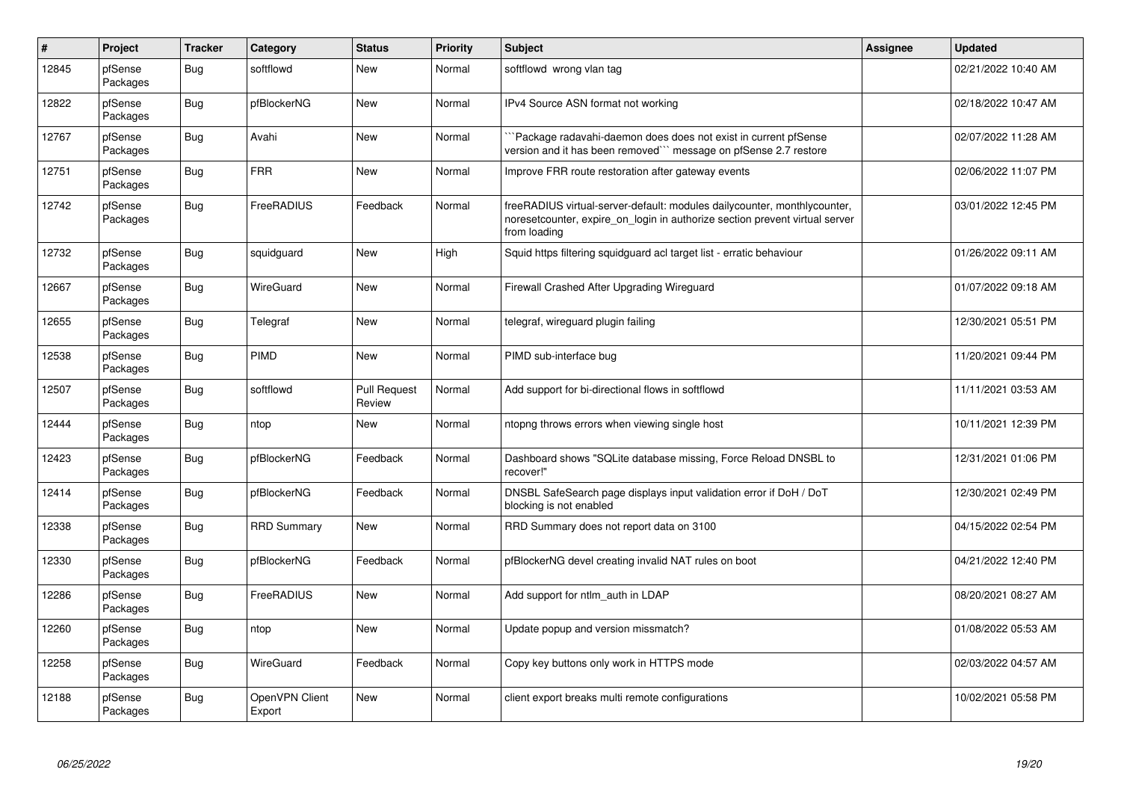| $\vert$ # | Project             | <b>Tracker</b> | Category                 | <b>Status</b>                 | <b>Priority</b> | <b>Subject</b>                                                                                                                                                          | Assignee | <b>Updated</b>      |
|-----------|---------------------|----------------|--------------------------|-------------------------------|-----------------|-------------------------------------------------------------------------------------------------------------------------------------------------------------------------|----------|---------------------|
| 12845     | pfSense<br>Packages | Bug            | softflowd                | New                           | Normal          | softflowd wrong vlan tag                                                                                                                                                |          | 02/21/2022 10:40 AM |
| 12822     | pfSense<br>Packages | Bug            | pfBlockerNG              | New                           | Normal          | IPv4 Source ASN format not working                                                                                                                                      |          | 02/18/2022 10:47 AM |
| 12767     | pfSense<br>Packages | Bug            | Avahi                    | New                           | Normal          | Package radavahi-daemon does does not exist in current pfSense<br>version and it has been removed"" message on pfSense 2.7 restore                                      |          | 02/07/2022 11:28 AM |
| 12751     | pfSense<br>Packages | <b>Bug</b>     | <b>FRR</b>               | <b>New</b>                    | Normal          | Improve FRR route restoration after gateway events                                                                                                                      |          | 02/06/2022 11:07 PM |
| 12742     | pfSense<br>Packages | <b>Bug</b>     | FreeRADIUS               | Feedback                      | Normal          | freeRADIUS virtual-server-default: modules dailycounter, monthlycounter,<br>noresetcounter, expire_on_login in authorize section prevent virtual server<br>from loading |          | 03/01/2022 12:45 PM |
| 12732     | pfSense<br>Packages | <b>Bug</b>     | squidguard               | <b>New</b>                    | High            | Squid https filtering squidguard acl target list - erratic behaviour                                                                                                    |          | 01/26/2022 09:11 AM |
| 12667     | pfSense<br>Packages | <b>Bug</b>     | WireGuard                | <b>New</b>                    | Normal          | Firewall Crashed After Upgrading Wireguard                                                                                                                              |          | 01/07/2022 09:18 AM |
| 12655     | pfSense<br>Packages | Bug            | Telegraf                 | New                           | Normal          | telegraf, wireguard plugin failing                                                                                                                                      |          | 12/30/2021 05:51 PM |
| 12538     | pfSense<br>Packages | <b>Bug</b>     | PIMD                     | New                           | Normal          | PIMD sub-interface bug                                                                                                                                                  |          | 11/20/2021 09:44 PM |
| 12507     | pfSense<br>Packages | <b>Bug</b>     | softflowd                | <b>Pull Request</b><br>Review | Normal          | Add support for bi-directional flows in softflowd                                                                                                                       |          | 11/11/2021 03:53 AM |
| 12444     | pfSense<br>Packages | Bug            | ntop                     | New                           | Normal          | ntopng throws errors when viewing single host                                                                                                                           |          | 10/11/2021 12:39 PM |
| 12423     | pfSense<br>Packages | <b>Bug</b>     | pfBlockerNG              | Feedback                      | Normal          | Dashboard shows "SQLite database missing, Force Reload DNSBL to<br>recover!"                                                                                            |          | 12/31/2021 01:06 PM |
| 12414     | pfSense<br>Packages | Bug            | pfBlockerNG              | Feedback                      | Normal          | DNSBL SafeSearch page displays input validation error if DoH / DoT<br>blocking is not enabled                                                                           |          | 12/30/2021 02:49 PM |
| 12338     | pfSense<br>Packages | <b>Bug</b>     | <b>RRD Summary</b>       | <b>New</b>                    | Normal          | RRD Summary does not report data on 3100                                                                                                                                |          | 04/15/2022 02:54 PM |
| 12330     | pfSense<br>Packages | Bug            | pfBlockerNG              | Feedback                      | Normal          | pfBlockerNG devel creating invalid NAT rules on boot                                                                                                                    |          | 04/21/2022 12:40 PM |
| 12286     | pfSense<br>Packages | Bug            | FreeRADIUS               | New                           | Normal          | Add support for ntlm auth in LDAP                                                                                                                                       |          | 08/20/2021 08:27 AM |
| 12260     | pfSense<br>Packages | <b>Bug</b>     | ntop                     | New                           | Normal          | Update popup and version missmatch?                                                                                                                                     |          | 01/08/2022 05:53 AM |
| 12258     | pfSense<br>Packages | <b>Bug</b>     | WireGuard                | Feedback                      | Normal          | Copy key buttons only work in HTTPS mode                                                                                                                                |          | 02/03/2022 04:57 AM |
| 12188     | pfSense<br>Packages | Bug            | OpenVPN Client<br>Export | <b>New</b>                    | Normal          | client export breaks multi remote configurations                                                                                                                        |          | 10/02/2021 05:58 PM |